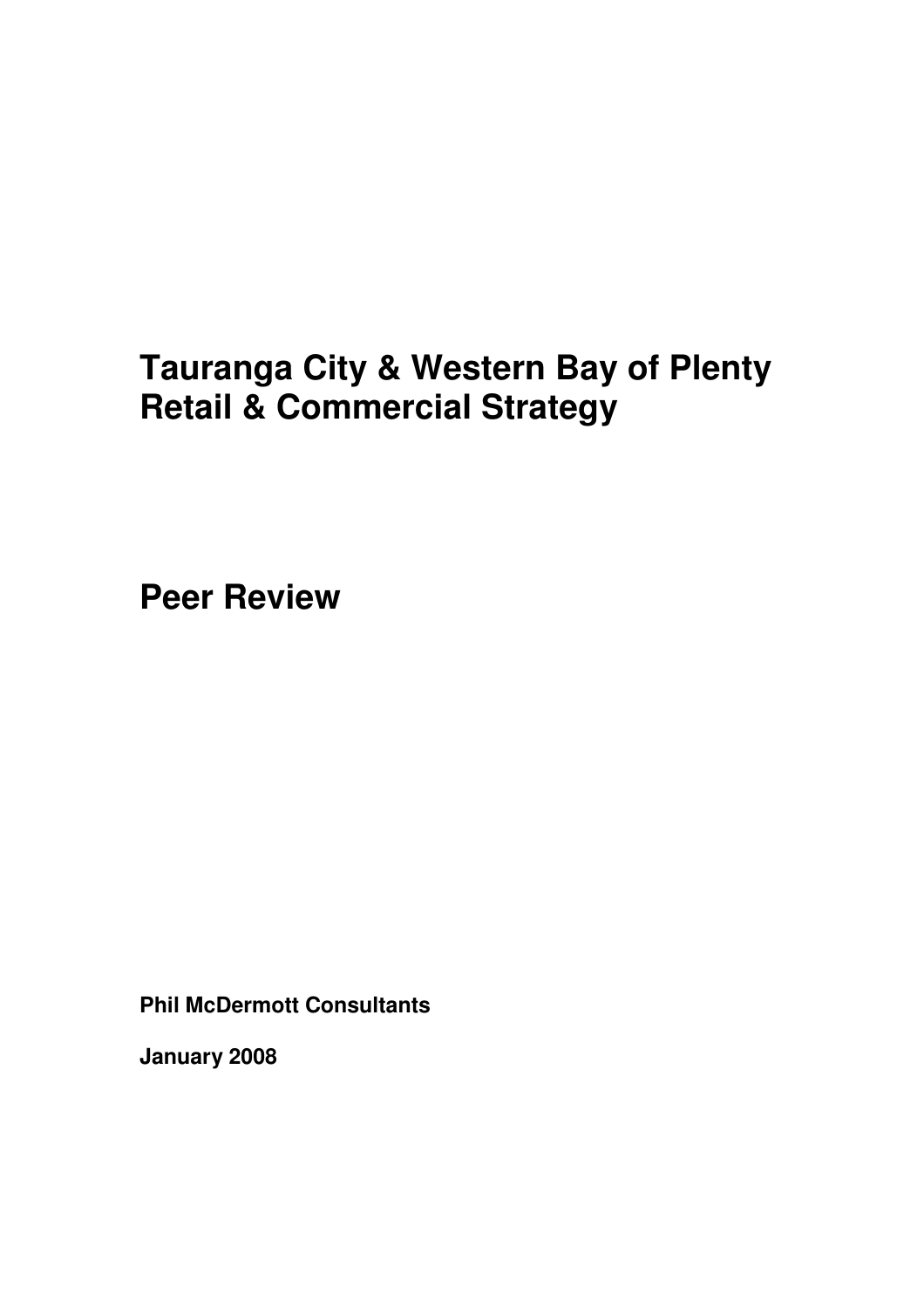# **Tauranga City & Western Bay of Plenty Retail & Commercial Strategy**

**Peer Review** 

**Phil McDermott Consultants** 

**January 2008**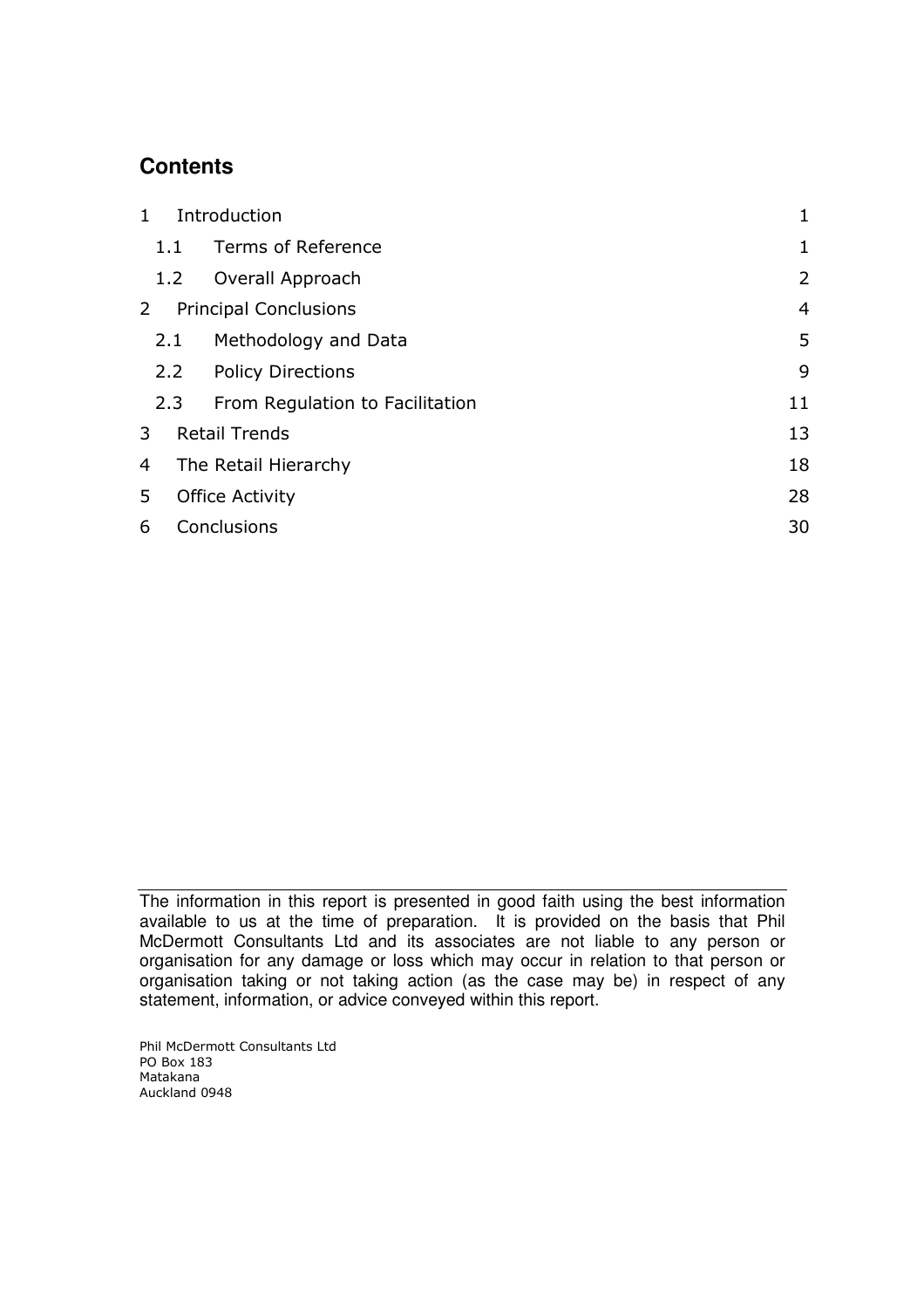### **Contents**

| $\mathbf{1}$ | Introduction           |                                 |                |  |  |
|--------------|------------------------|---------------------------------|----------------|--|--|
|              | 1.1                    | Terms of Reference              | 1              |  |  |
|              | 1.2                    | Overall Approach                | 2              |  |  |
| 2            |                        | <b>Principal Conclusions</b>    | $\overline{4}$ |  |  |
|              | 2.1                    | Methodology and Data            | 5              |  |  |
| 2.2          |                        | <b>Policy Directions</b>        | 9              |  |  |
|              | 2.3                    | From Regulation to Facilitation | 11             |  |  |
| 3            |                        | <b>Retail Trends</b>            | 13             |  |  |
| 4            | The Retail Hierarchy   |                                 |                |  |  |
| 5            | <b>Office Activity</b> |                                 | 28             |  |  |
| 6            | Conclusions            |                                 | 30             |  |  |

The information in this report is presented in good faith using the best information available to us at the time of preparation. It is provided on the basis that Phil McDermott Consultants Ltd and its associates are not liable to any person or organisation for any damage or loss which may occur in relation to that person or organisation taking or not taking action (as the case may be) in respect of any statement, information, or advice conveyed within this report.

Phil McDermott Consultants Ltd PO Box 183 Matakana Auckland 0948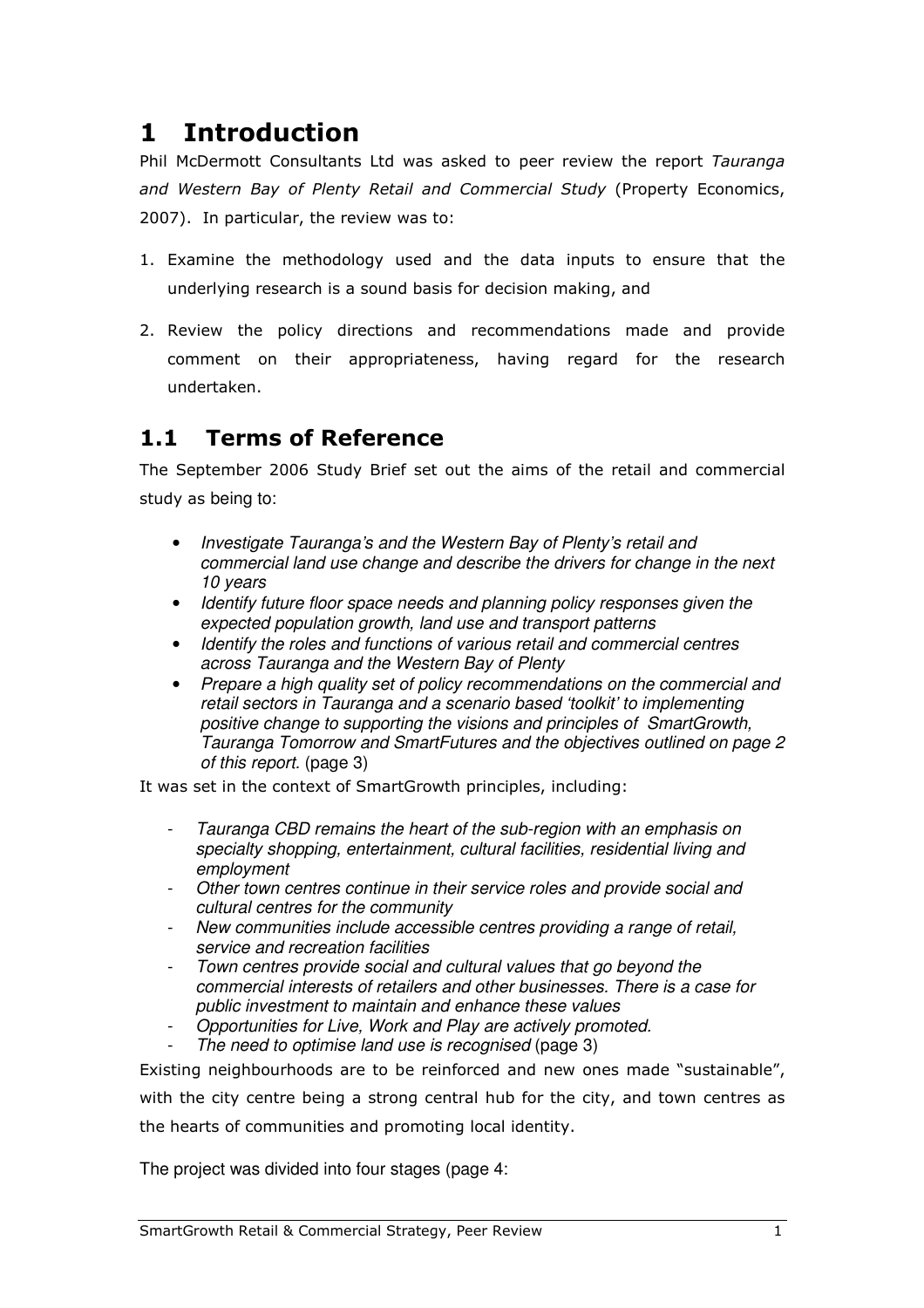## 1 Introduction

Phil McDermott Consultants Ltd was asked to peer review the report Tauranga and Western Bay of Plenty Retail and Commercial Study (Property Economics, 2007). In particular, the review was to:

- 1. Examine the methodology used and the data inputs to ensure that the underlying research is a sound basis for decision making, and
- 2. Review the policy directions and recommendations made and provide comment on their appropriateness, having regard for the research undertaken.

### 1.1 Terms of Reference

The September 2006 Study Brief set out the aims of the retail and commercial study as being to:

- Investigate Tauranga's and the Western Bay of Plenty's retail and commercial land use change and describe the drivers for change in the next 10 years
- Identify future floor space needs and planning policy responses given the expected population growth, land use and transport patterns
- Identify the roles and functions of various retail and commercial centres across Tauranga and the Western Bay of Plenty
- Prepare a high quality set of policy recommendations on the commercial and retail sectors in Tauranga and a scenario based 'toolkit' to implementing positive change to supporting the visions and principles of SmartGrowth, Tauranga Tomorrow and SmartFutures and the objectives outlined on page 2 of this report. (page 3)

It was set in the context of SmartGrowth principles, including:

- Tauranga CBD remains the heart of the sub-region with an emphasis on specialty shopping, entertainment, cultural facilities, residential living and employment
- Other town centres continue in their service roles and provide social and cultural centres for the community
- New communities include accessible centres providing a range of retail, service and recreation facilities
- Town centres provide social and cultural values that go beyond the commercial interests of retailers and other businesses. There is a case for public investment to maintain and enhance these values
- Opportunities for Live, Work and Play are actively promoted.
- The need to optimise land use is recognised (page 3)

Existing neighbourhoods are to be reinforced and new ones made "sustainable", with the city centre being a strong central hub for the city, and town centres as the hearts of communities and promoting local identity.

The project was divided into four stages (page 4: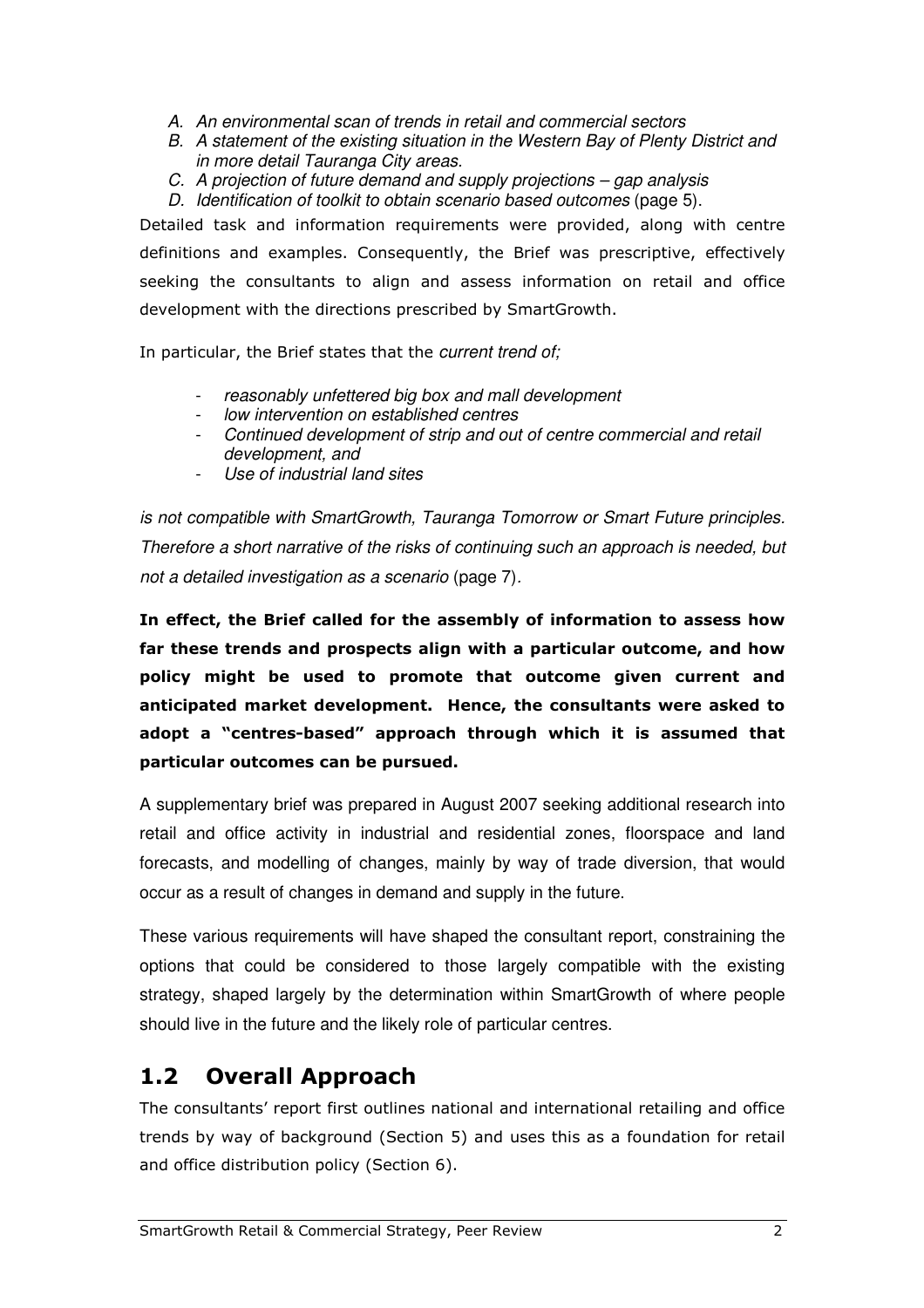- A. An environmental scan of trends in retail and commercial sectors
- B. A statement of the existing situation in the Western Bay of Plenty District and in more detail Tauranga City areas.
- C. A projection of future demand and supply projections gap analysis
- D. Identification of toolkit to obtain scenario based outcomes (page 5).

Detailed task and information requirements were provided, along with centre definitions and examples. Consequently, the Brief was prescriptive, effectively seeking the consultants to align and assess information on retail and office development with the directions prescribed by SmartGrowth.

In particular, the Brief states that the *current trend of:* 

- reasonably unfettered big box and mall development
- low intervention on established centres
- Continued development of strip and out of centre commercial and retail development, and
- Use of industrial land sites

is not compatible with SmartGrowth, Tauranga Tomorrow or Smart Future principles. Therefore a short narrative of the risks of continuing such an approach is needed, but not a detailed investigation as a scenario (page 7).

In effect, the Brief called for the assembly of information to assess how far these trends and prospects align with a particular outcome, and how policy might be used to promote that outcome given current and anticipated market development. Hence, the consultants were asked to adopt a "centres-based" approach through which it is assumed that particular outcomes can be pursued.

A supplementary brief was prepared in August 2007 seeking additional research into retail and office activity in industrial and residential zones, floorspace and land forecasts, and modelling of changes, mainly by way of trade diversion, that would occur as a result of changes in demand and supply in the future.

These various requirements will have shaped the consultant report, constraining the options that could be considered to those largely compatible with the existing strategy, shaped largely by the determination within SmartGrowth of where people should live in the future and the likely role of particular centres.

### 1.2 Overall Approach

The consultants' report first outlines national and international retailing and office trends by way of background (Section 5) and uses this as a foundation for retail and office distribution policy (Section 6).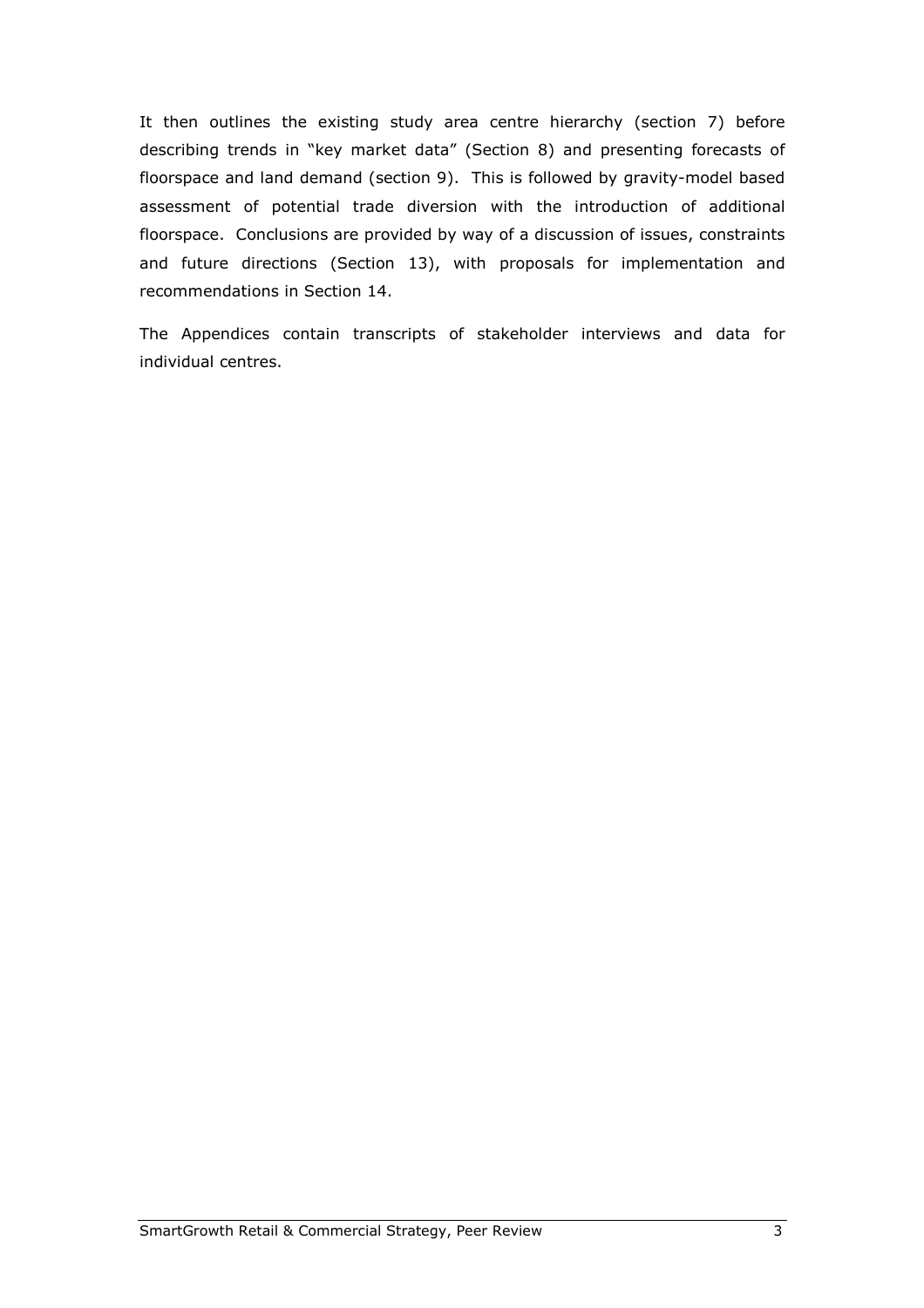It then outlines the existing study area centre hierarchy (section 7) before describing trends in "key market data" (Section 8) and presenting forecasts of floorspace and land demand (section 9). This is followed by gravity-model based assessment of potential trade diversion with the introduction of additional floorspace. Conclusions are provided by way of a discussion of issues, constraints and future directions (Section 13), with proposals for implementation and recommendations in Section 14.

The Appendices contain transcripts of stakeholder interviews and data for individual centres.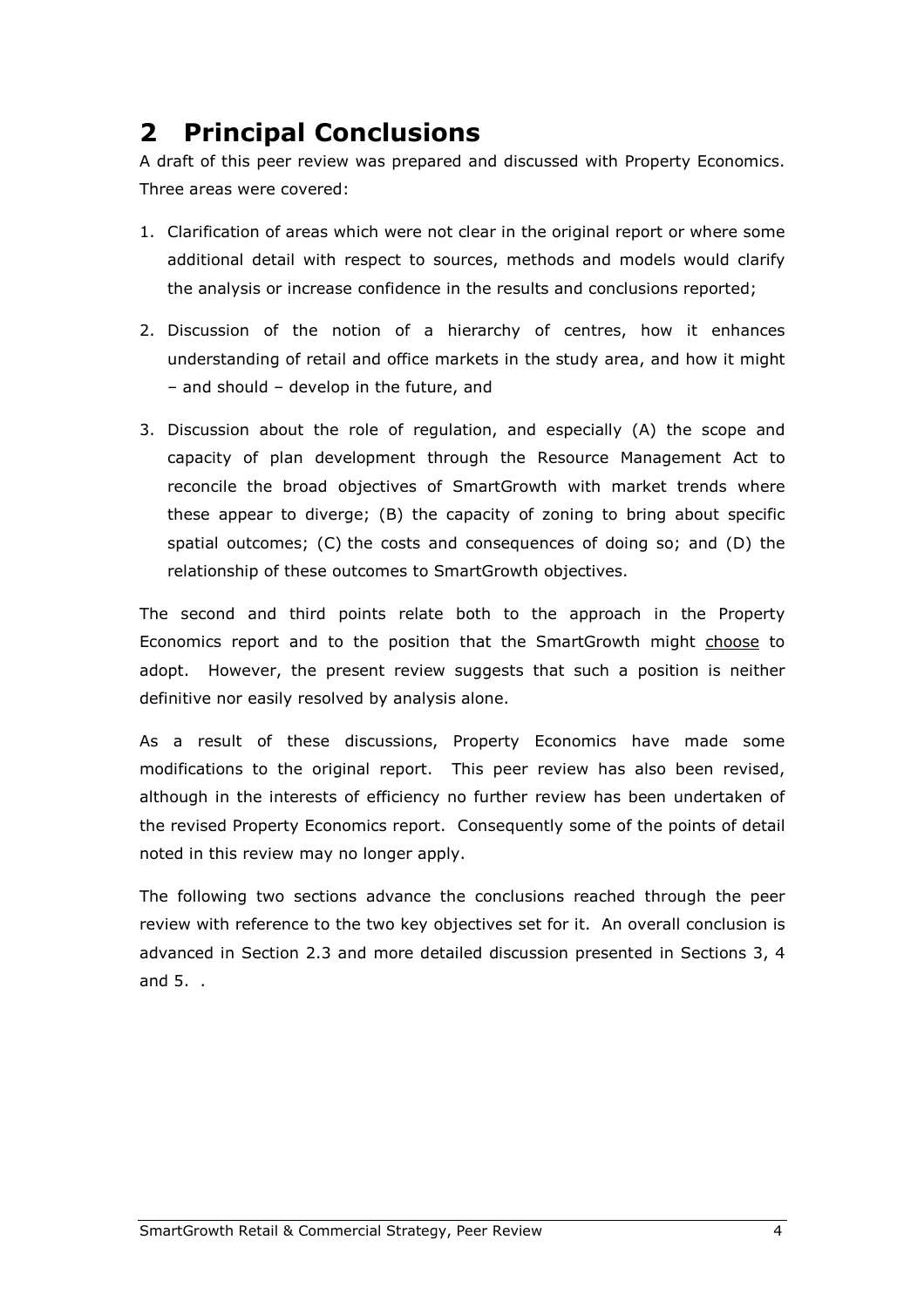## 2 Principal Conclusions

A draft of this peer review was prepared and discussed with Property Economics. Three areas were covered:

- 1. Clarification of areas which were not clear in the original report or where some additional detail with respect to sources, methods and models would clarify the analysis or increase confidence in the results and conclusions reported;
- 2. Discussion of the notion of a hierarchy of centres, how it enhances understanding of retail and office markets in the study area, and how it might – and should – develop in the future, and
- 3. Discussion about the role of regulation, and especially (A) the scope and capacity of plan development through the Resource Management Act to reconcile the broad objectives of SmartGrowth with market trends where these appear to diverge; (B) the capacity of zoning to bring about specific spatial outcomes; (C) the costs and consequences of doing so; and (D) the relationship of these outcomes to SmartGrowth objectives.

The second and third points relate both to the approach in the Property Economics report and to the position that the SmartGrowth might choose to adopt. However, the present review suggests that such a position is neither definitive nor easily resolved by analysis alone.

As a result of these discussions, Property Economics have made some modifications to the original report. This peer review has also been revised, although in the interests of efficiency no further review has been undertaken of the revised Property Economics report. Consequently some of the points of detail noted in this review may no longer apply.

The following two sections advance the conclusions reached through the peer review with reference to the two key objectives set for it. An overall conclusion is advanced in Section 2.3 and more detailed discussion presented in Sections 3, 4 and 5. .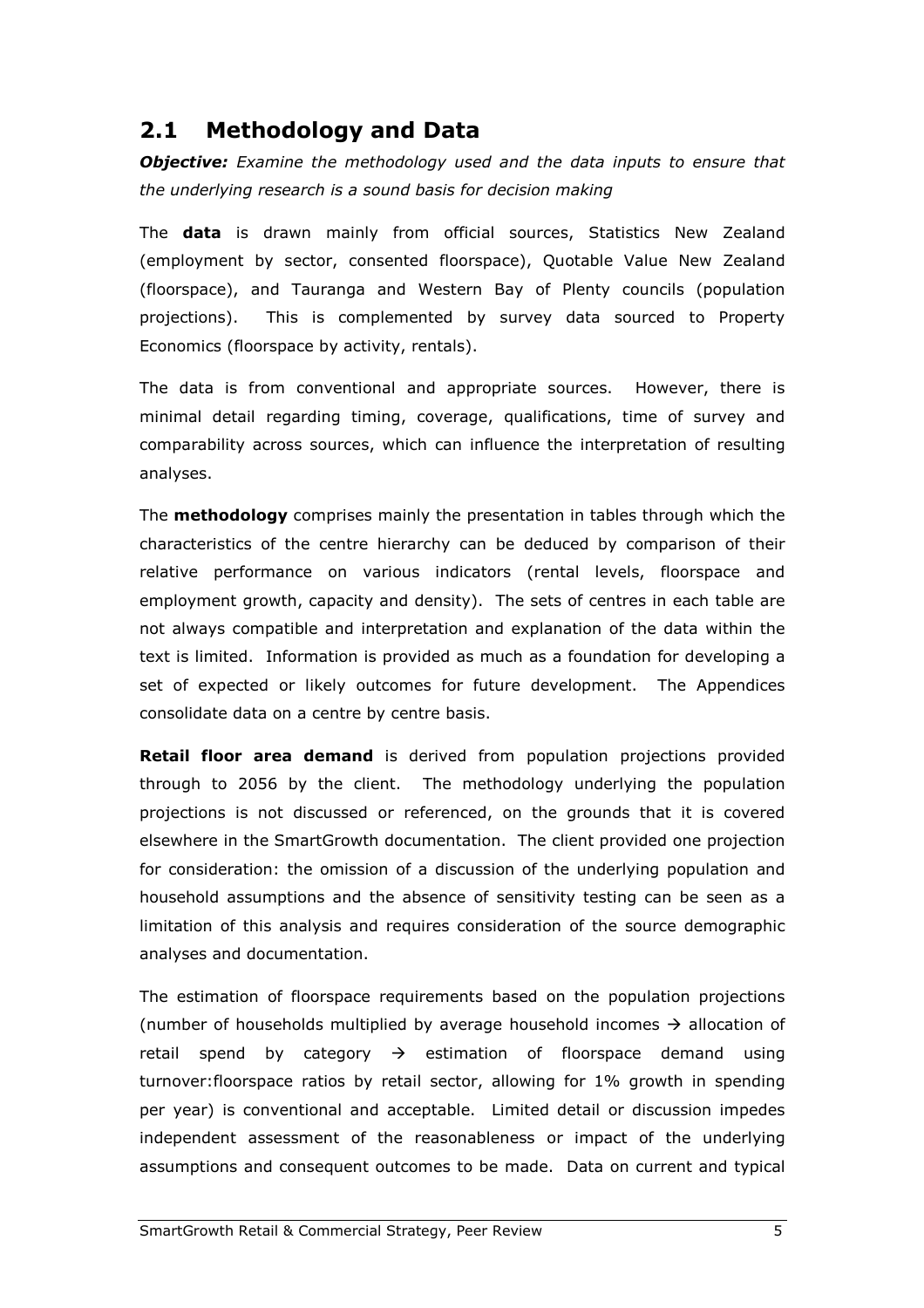### 2.1 Methodology and Data

**Objective:** Examine the methodology used and the data inputs to ensure that the underlying research is a sound basis for decision making

The **data** is drawn mainly from official sources, Statistics New Zealand (employment by sector, consented floorspace), Quotable Value New Zealand (floorspace), and Tauranga and Western Bay of Plenty councils (population projections). This is complemented by survey data sourced to Property Economics (floorspace by activity, rentals).

The data is from conventional and appropriate sources. However, there is minimal detail regarding timing, coverage, qualifications, time of survey and comparability across sources, which can influence the interpretation of resulting analyses.

The **methodology** comprises mainly the presentation in tables through which the characteristics of the centre hierarchy can be deduced by comparison of their relative performance on various indicators (rental levels, floorspace and employment growth, capacity and density). The sets of centres in each table are not always compatible and interpretation and explanation of the data within the text is limited. Information is provided as much as a foundation for developing a set of expected or likely outcomes for future development. The Appendices consolidate data on a centre by centre basis.

Retail floor area demand is derived from population projections provided through to 2056 by the client. The methodology underlying the population projections is not discussed or referenced, on the grounds that it is covered elsewhere in the SmartGrowth documentation. The client provided one projection for consideration: the omission of a discussion of the underlying population and household assumptions and the absence of sensitivity testing can be seen as a limitation of this analysis and requires consideration of the source demographic analyses and documentation.

The estimation of floorspace requirements based on the population projections (number of households multiplied by average household incomes  $\rightarrow$  allocation of retail spend by category  $\rightarrow$  estimation of floorspace demand using turnover:floorspace ratios by retail sector, allowing for 1% growth in spending per year) is conventional and acceptable. Limited detail or discussion impedes independent assessment of the reasonableness or impact of the underlying assumptions and consequent outcomes to be made. Data on current and typical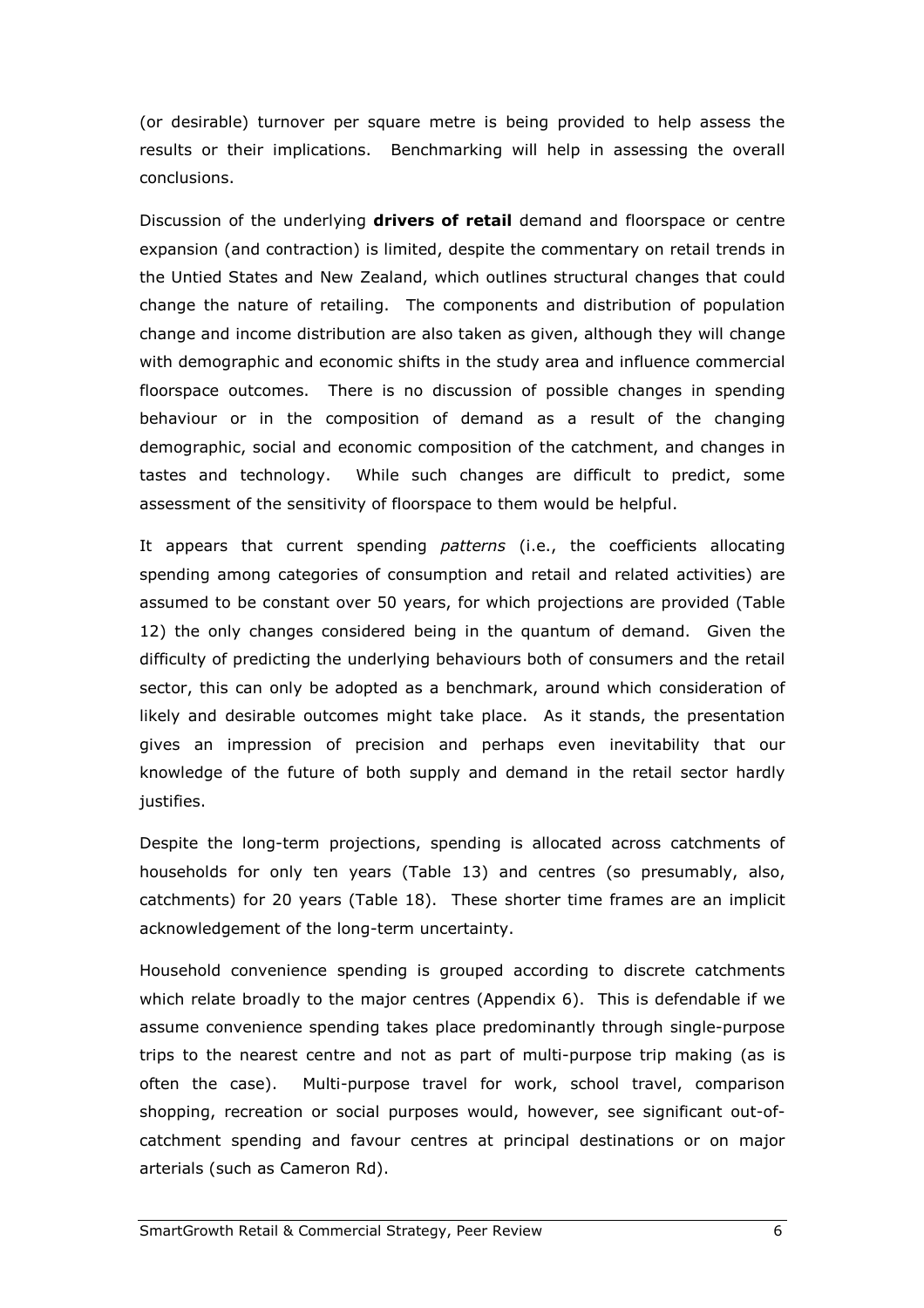(or desirable) turnover per square metre is being provided to help assess the results or their implications. Benchmarking will help in assessing the overall conclusions.

Discussion of the underlying drivers of retail demand and floorspace or centre expansion (and contraction) is limited, despite the commentary on retail trends in the Untied States and New Zealand, which outlines structural changes that could change the nature of retailing. The components and distribution of population change and income distribution are also taken as given, although they will change with demographic and economic shifts in the study area and influence commercial floorspace outcomes. There is no discussion of possible changes in spending behaviour or in the composition of demand as a result of the changing demographic, social and economic composition of the catchment, and changes in tastes and technology. While such changes are difficult to predict, some assessment of the sensitivity of floorspace to them would be helpful.

It appears that current spending patterns (i.e., the coefficients allocating spending among categories of consumption and retail and related activities) are assumed to be constant over 50 years, for which projections are provided (Table 12) the only changes considered being in the quantum of demand. Given the difficulty of predicting the underlying behaviours both of consumers and the retail sector, this can only be adopted as a benchmark, around which consideration of likely and desirable outcomes might take place. As it stands, the presentation gives an impression of precision and perhaps even inevitability that our knowledge of the future of both supply and demand in the retail sector hardly justifies.

Despite the long-term projections, spending is allocated across catchments of households for only ten years (Table 13) and centres (so presumably, also, catchments) for 20 years (Table 18). These shorter time frames are an implicit acknowledgement of the long-term uncertainty.

Household convenience spending is grouped according to discrete catchments which relate broadly to the major centres (Appendix 6). This is defendable if we assume convenience spending takes place predominantly through single-purpose trips to the nearest centre and not as part of multi-purpose trip making (as is often the case). Multi-purpose travel for work, school travel, comparison shopping, recreation or social purposes would, however, see significant out-ofcatchment spending and favour centres at principal destinations or on major arterials (such as Cameron Rd).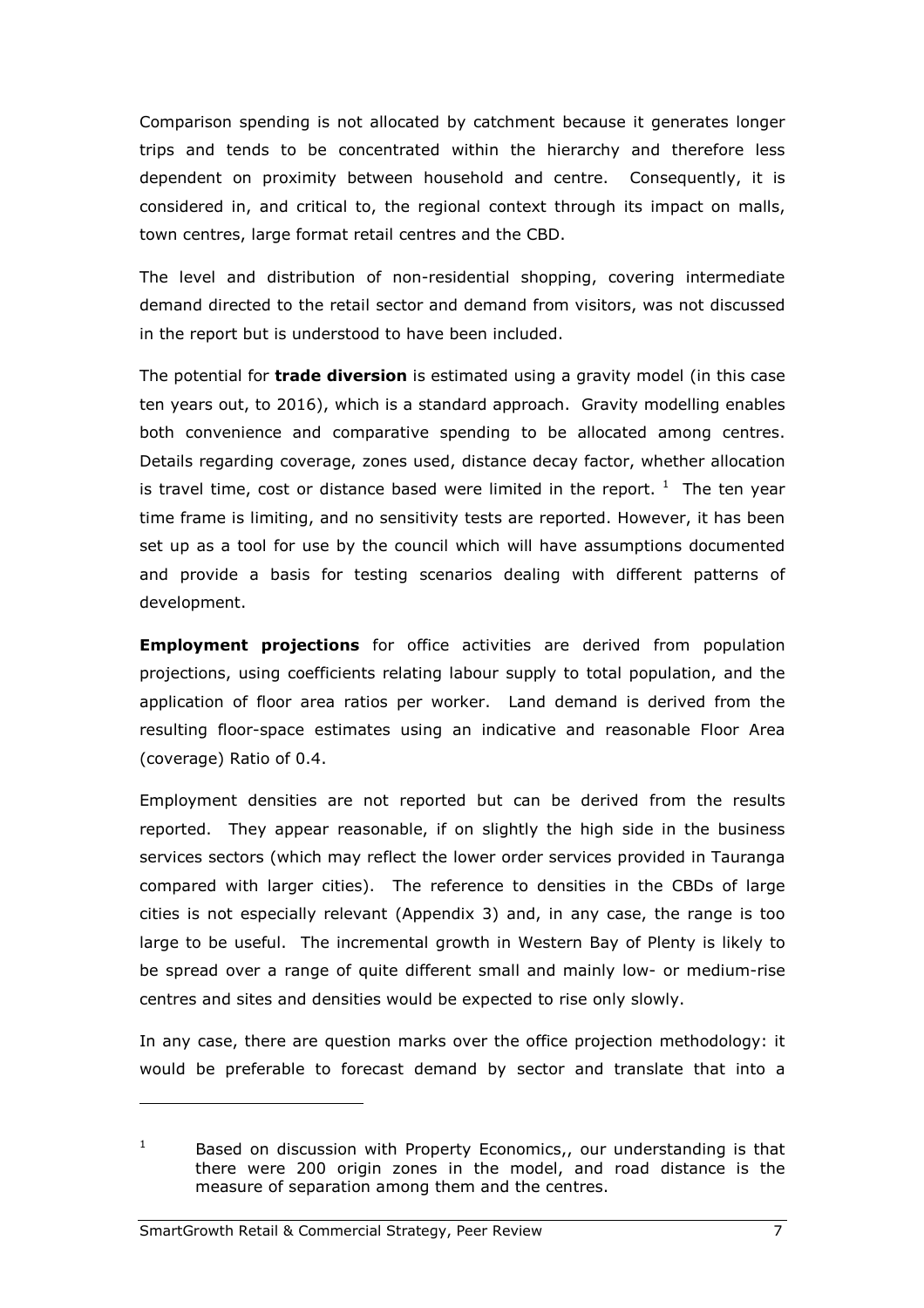Comparison spending is not allocated by catchment because it generates longer trips and tends to be concentrated within the hierarchy and therefore less dependent on proximity between household and centre. Consequently, it is considered in, and critical to, the regional context through its impact on malls, town centres, large format retail centres and the CBD.

The level and distribution of non-residential shopping, covering intermediate demand directed to the retail sector and demand from visitors, was not discussed in the report but is understood to have been included.

The potential for **trade diversion** is estimated using a gravity model (in this case ten years out, to 2016), which is a standard approach. Gravity modelling enables both convenience and comparative spending to be allocated among centres. Details regarding coverage, zones used, distance decay factor, whether allocation is travel time, cost or distance based were limited in the report.  $1$  The ten year time frame is limiting, and no sensitivity tests are reported. However, it has been set up as a tool for use by the council which will have assumptions documented and provide a basis for testing scenarios dealing with different patterns of development.

**Employment projections** for office activities are derived from population projections, using coefficients relating labour supply to total population, and the application of floor area ratios per worker. Land demand is derived from the resulting floor-space estimates using an indicative and reasonable Floor Area (coverage) Ratio of 0.4.

Employment densities are not reported but can be derived from the results reported. They appear reasonable, if on slightly the high side in the business services sectors (which may reflect the lower order services provided in Tauranga compared with larger cities). The reference to densities in the CBDs of large cities is not especially relevant (Appendix 3) and, in any case, the range is too large to be useful. The incremental growth in Western Bay of Plenty is likely to be spread over a range of quite different small and mainly low- or medium-rise centres and sites and densities would be expected to rise only slowly.

In any case, there are question marks over the office projection methodology: it would be preferable to forecast demand by sector and translate that into a

i<br>I

<sup>1</sup> Based on discussion with Property Economics,, our understanding is that there were 200 origin zones in the model, and road distance is the measure of separation among them and the centres.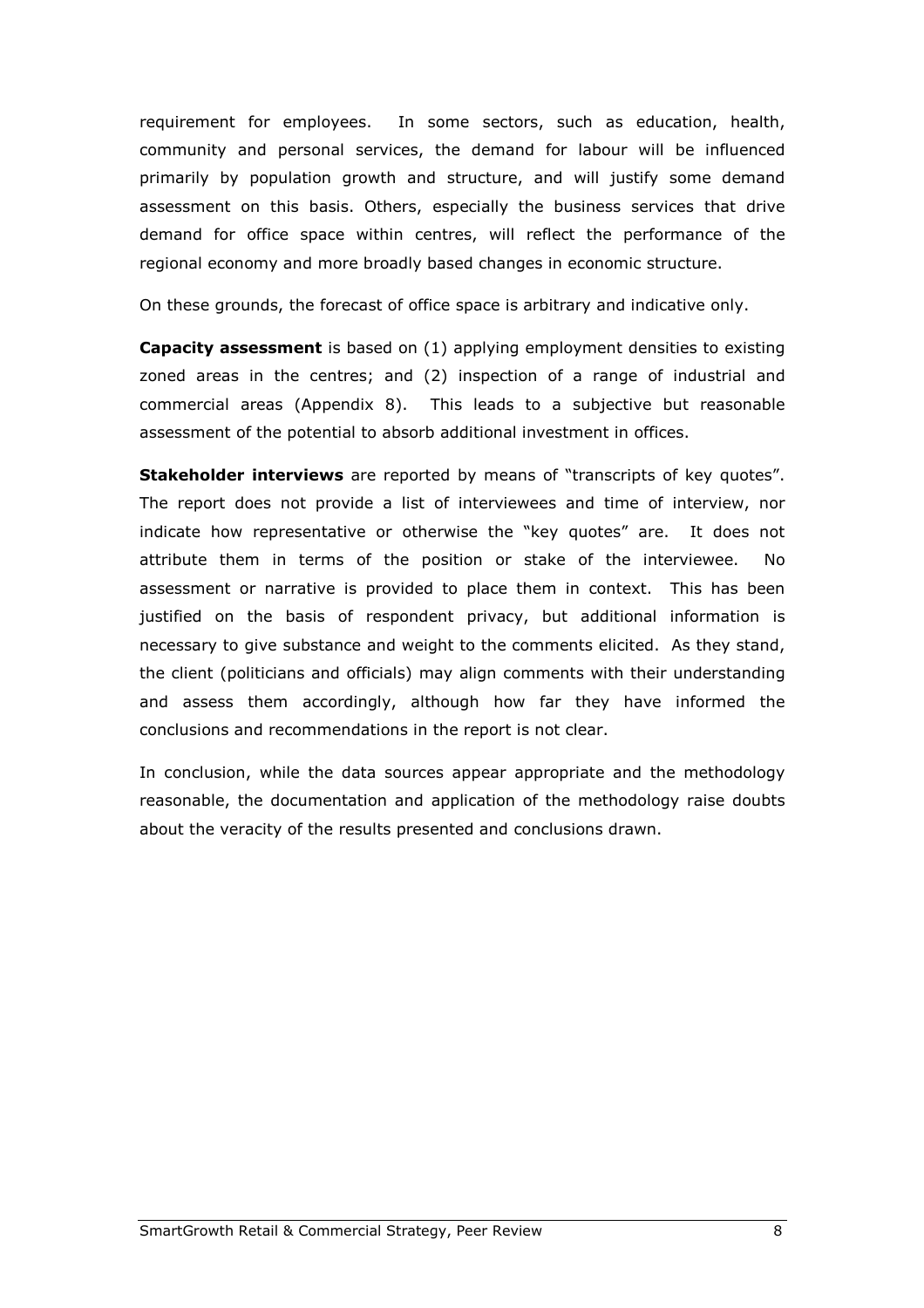requirement for employees. In some sectors, such as education, health, community and personal services, the demand for labour will be influenced primarily by population growth and structure, and will justify some demand assessment on this basis. Others, especially the business services that drive demand for office space within centres, will reflect the performance of the regional economy and more broadly based changes in economic structure.

On these grounds, the forecast of office space is arbitrary and indicative only.

**Capacity assessment** is based on (1) applying employment densities to existing zoned areas in the centres; and (2) inspection of a range of industrial and commercial areas (Appendix 8). This leads to a subjective but reasonable assessment of the potential to absorb additional investment in offices.

**Stakeholder interviews** are reported by means of "transcripts of key quotes". The report does not provide a list of interviewees and time of interview, nor indicate how representative or otherwise the "key quotes" are. It does not attribute them in terms of the position or stake of the interviewee. No assessment or narrative is provided to place them in context. This has been justified on the basis of respondent privacy, but additional information is necessary to give substance and weight to the comments elicited. As they stand, the client (politicians and officials) may align comments with their understanding and assess them accordingly, although how far they have informed the conclusions and recommendations in the report is not clear.

In conclusion, while the data sources appear appropriate and the methodology reasonable, the documentation and application of the methodology raise doubts about the veracity of the results presented and conclusions drawn.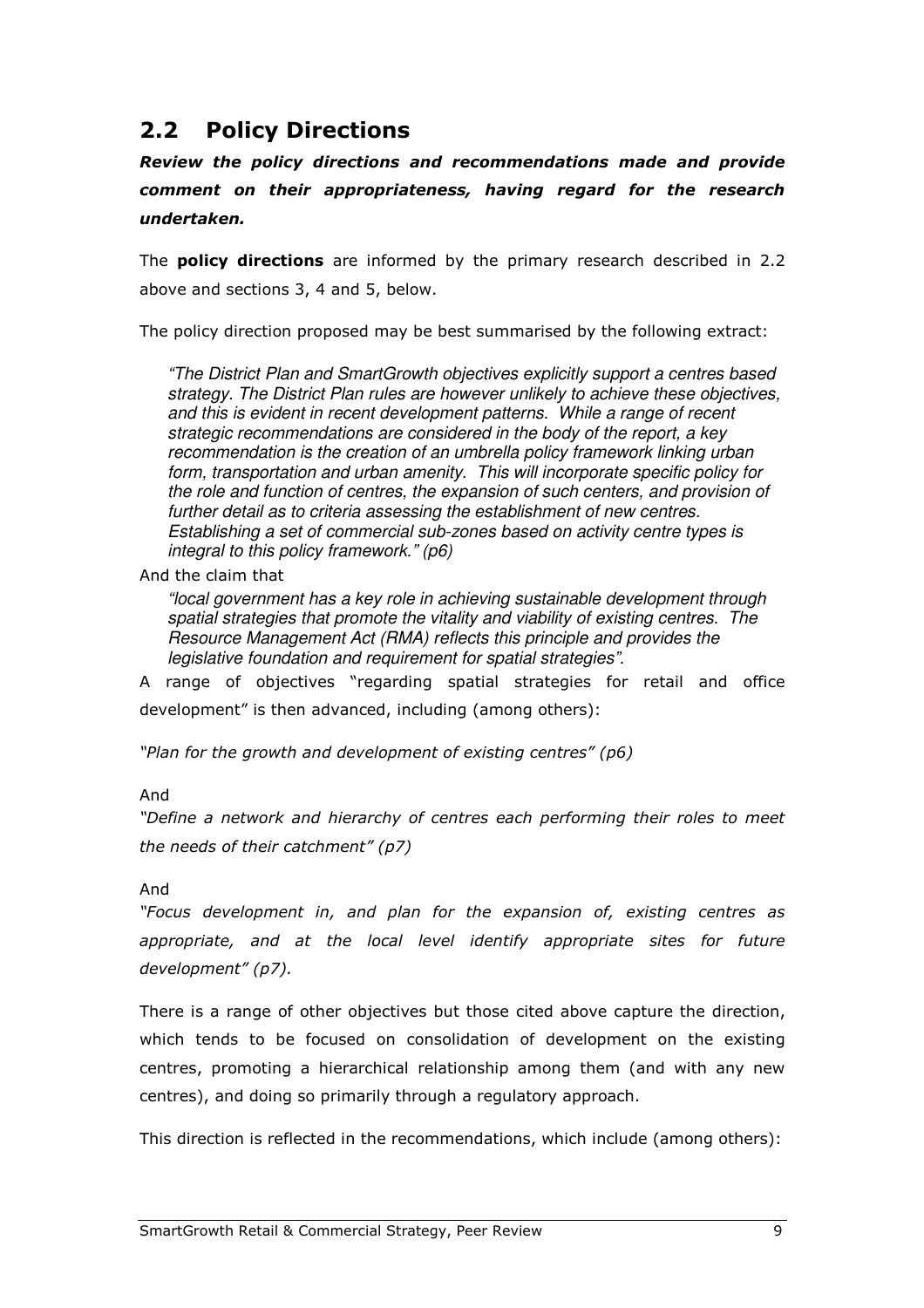### 2.2 Policy Directions

Review the policy directions and recommendations made and provide comment on their appropriateness, having regard for the research undertaken.

The **policy directions** are informed by the primary research described in 2.2 above and sections 3, 4 and 5, below.

The policy direction proposed may be best summarised by the following extract:

"The District Plan and SmartGrowth objectives explicitly support a centres based strategy. The District Plan rules are however unlikely to achieve these objectives, and this is evident in recent development patterns. While a range of recent strategic recommendations are considered in the body of the report, a key recommendation is the creation of an umbrella policy framework linking urban form, transportation and urban amenity. This will incorporate specific policy for the role and function of centres, the expansion of such centers, and provision of further detail as to criteria assessing the establishment of new centres. Establishing a set of commercial sub-zones based on activity centre types is integral to this policy framework." (p6)

And the claim that

"local government has a key role in achieving sustainable development through spatial strategies that promote the vitality and viability of existing centres. The Resource Management Act (RMA) reflects this principle and provides the legislative foundation and requirement for spatial strategies".

A range of objectives "regarding spatial strategies for retail and office development" is then advanced, including (among others):

"Plan for the growth and development of existing centres" (p6)

#### And

"Define a network and hierarchy of centres each performing their roles to meet the needs of their catchment" (p7)

#### And

"Focus development in, and plan for the expansion of, existing centres as appropriate, and at the local level identify appropriate sites for future development" (p7).

There is a range of other objectives but those cited above capture the direction, which tends to be focused on consolidation of development on the existing centres, promoting a hierarchical relationship among them (and with any new centres), and doing so primarily through a regulatory approach.

This direction is reflected in the recommendations, which include (among others):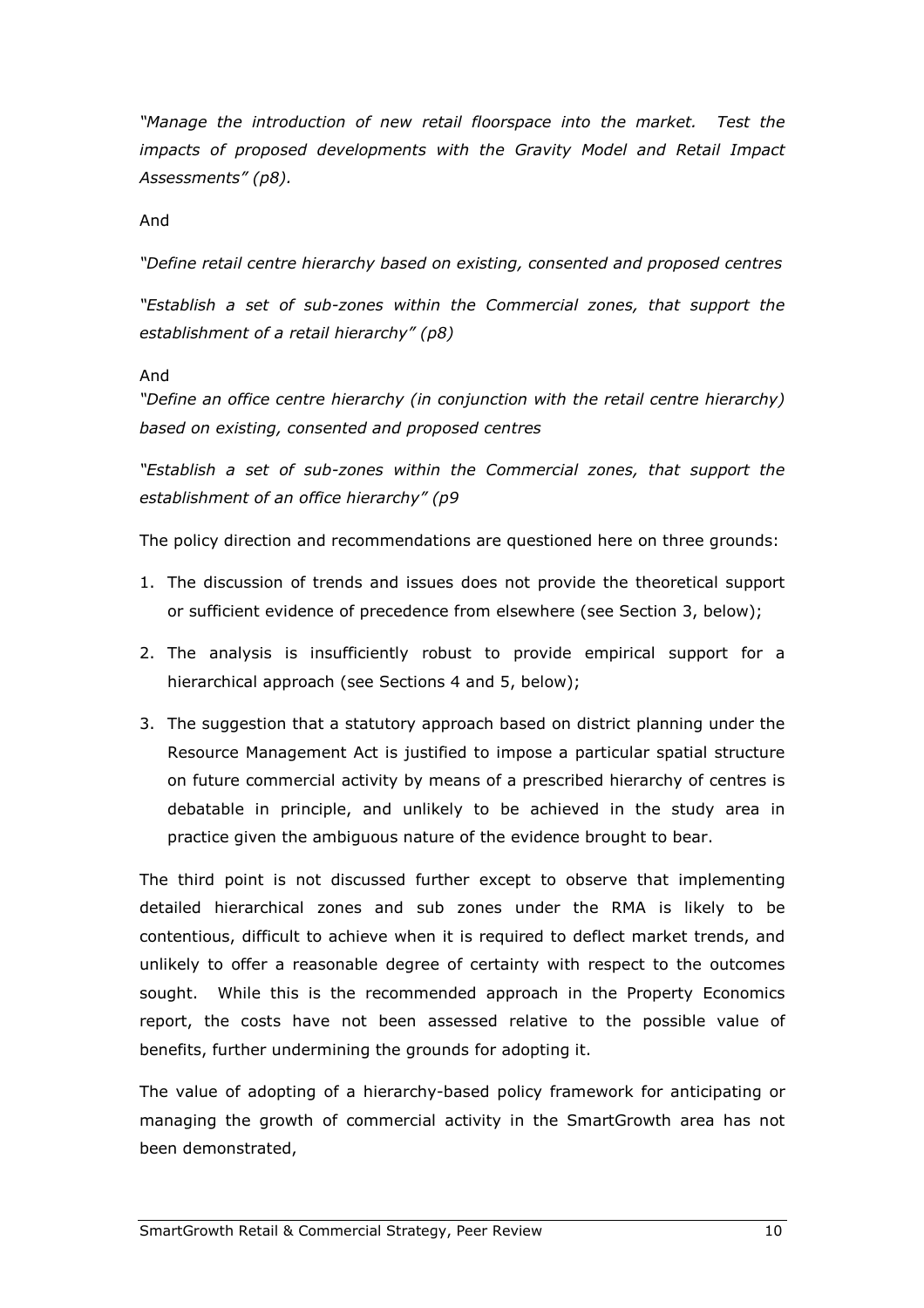"Manage the introduction of new retail floorspace into the market. Test the impacts of proposed developments with the Gravity Model and Retail Impact Assessments" (p8).

And

"Define retail centre hierarchy based on existing, consented and proposed centres

"Establish a set of sub-zones within the Commercial zones, that support the establishment of a retail hierarchy" (p8)

#### And

"Define an office centre hierarchy (in conjunction with the retail centre hierarchy) based on existing, consented and proposed centres

"Establish a set of sub-zones within the Commercial zones, that support the establishment of an office hierarchy" (p9

The policy direction and recommendations are questioned here on three grounds:

- 1. The discussion of trends and issues does not provide the theoretical support or sufficient evidence of precedence from elsewhere (see Section 3, below);
- 2. The analysis is insufficiently robust to provide empirical support for a hierarchical approach (see Sections 4 and 5, below);
- 3. The suggestion that a statutory approach based on district planning under the Resource Management Act is justified to impose a particular spatial structure on future commercial activity by means of a prescribed hierarchy of centres is debatable in principle, and unlikely to be achieved in the study area in practice given the ambiguous nature of the evidence brought to bear.

The third point is not discussed further except to observe that implementing detailed hierarchical zones and sub zones under the RMA is likely to be contentious, difficult to achieve when it is required to deflect market trends, and unlikely to offer a reasonable degree of certainty with respect to the outcomes sought. While this is the recommended approach in the Property Economics report, the costs have not been assessed relative to the possible value of benefits, further undermining the grounds for adopting it.

The value of adopting of a hierarchy-based policy framework for anticipating or managing the growth of commercial activity in the SmartGrowth area has not been demonstrated,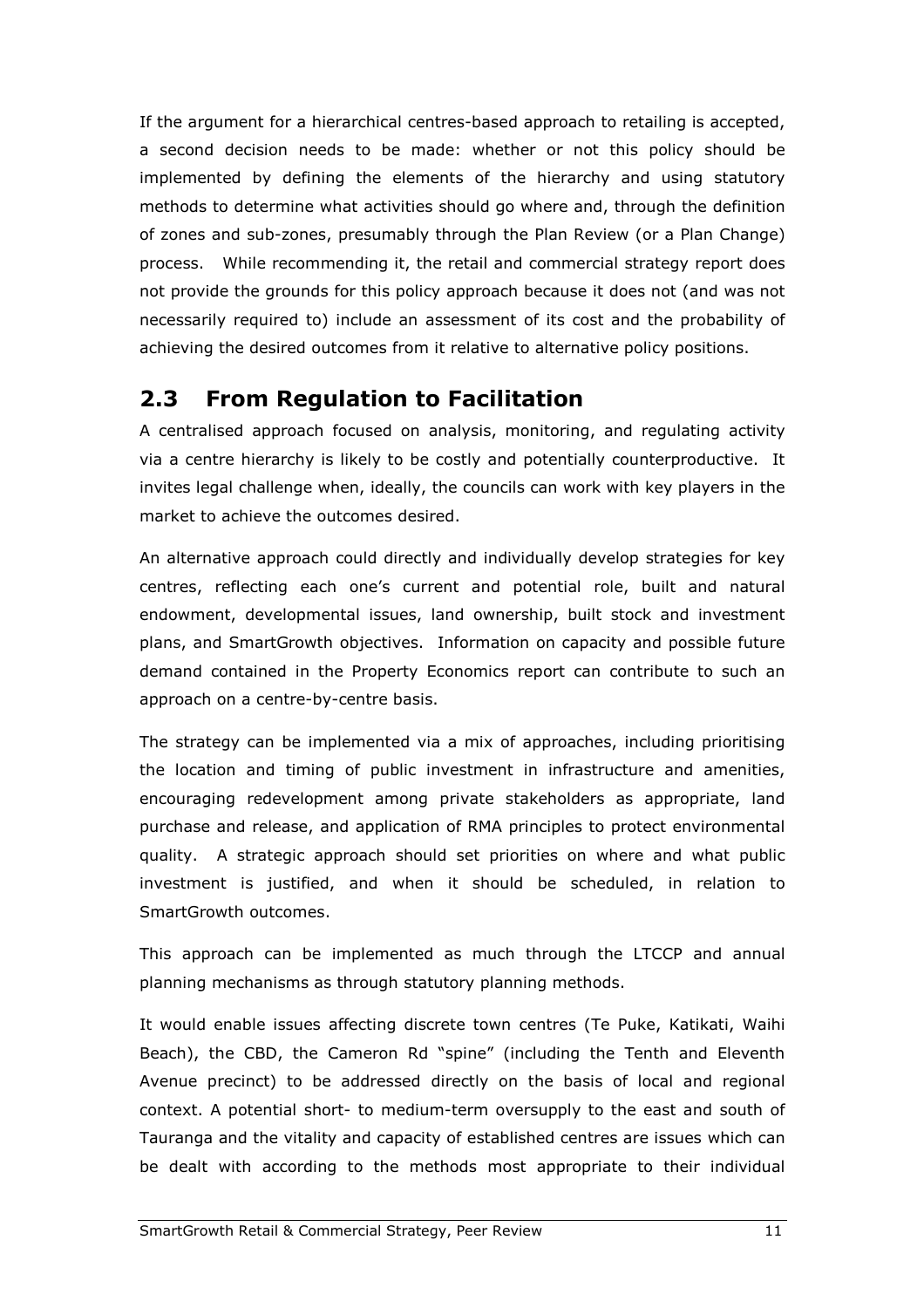If the argument for a hierarchical centres-based approach to retailing is accepted, a second decision needs to be made: whether or not this policy should be implemented by defining the elements of the hierarchy and using statutory methods to determine what activities should go where and, through the definition of zones and sub-zones, presumably through the Plan Review (or a Plan Change) process. While recommending it, the retail and commercial strategy report does not provide the grounds for this policy approach because it does not (and was not necessarily required to) include an assessment of its cost and the probability of achieving the desired outcomes from it relative to alternative policy positions.

### 2.3 From Regulation to Facilitation

A centralised approach focused on analysis, monitoring, and regulating activity via a centre hierarchy is likely to be costly and potentially counterproductive. It invites legal challenge when, ideally, the councils can work with key players in the market to achieve the outcomes desired.

An alternative approach could directly and individually develop strategies for key centres, reflecting each one's current and potential role, built and natural endowment, developmental issues, land ownership, built stock and investment plans, and SmartGrowth objectives. Information on capacity and possible future demand contained in the Property Economics report can contribute to such an approach on a centre-by-centre basis.

The strategy can be implemented via a mix of approaches, including prioritising the location and timing of public investment in infrastructure and amenities, encouraging redevelopment among private stakeholders as appropriate, land purchase and release, and application of RMA principles to protect environmental quality. A strategic approach should set priorities on where and what public investment is justified, and when it should be scheduled, in relation to SmartGrowth outcomes.

This approach can be implemented as much through the LTCCP and annual planning mechanisms as through statutory planning methods.

It would enable issues affecting discrete town centres (Te Puke, Katikati, Waihi Beach), the CBD, the Cameron Rd "spine" (including the Tenth and Eleventh Avenue precinct) to be addressed directly on the basis of local and regional context. A potential short- to medium-term oversupply to the east and south of Tauranga and the vitality and capacity of established centres are issues which can be dealt with according to the methods most appropriate to their individual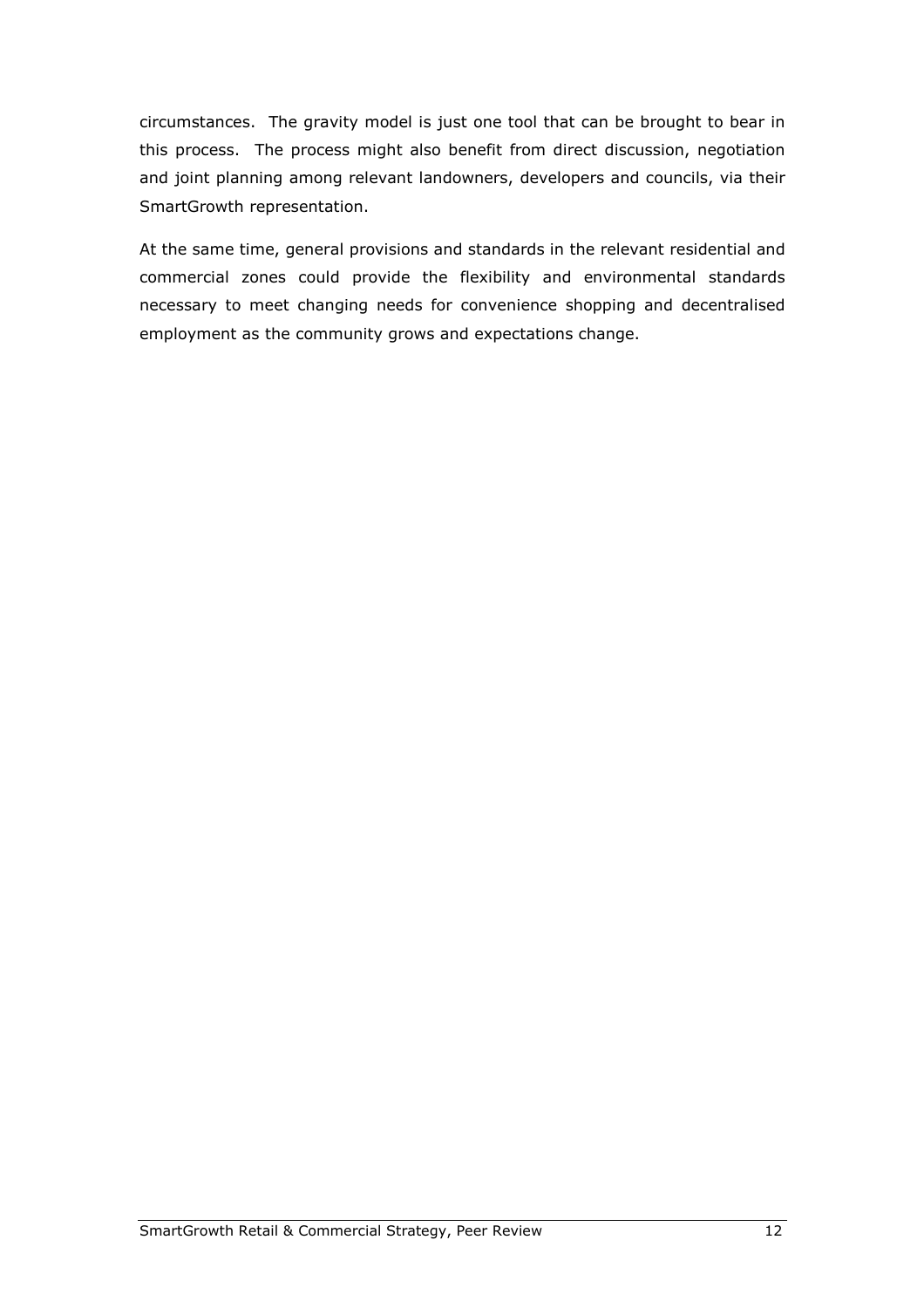circumstances. The gravity model is just one tool that can be brought to bear in this process. The process might also benefit from direct discussion, negotiation and joint planning among relevant landowners, developers and councils, via their SmartGrowth representation.

At the same time, general provisions and standards in the relevant residential and commercial zones could provide the flexibility and environmental standards necessary to meet changing needs for convenience shopping and decentralised employment as the community grows and expectations change.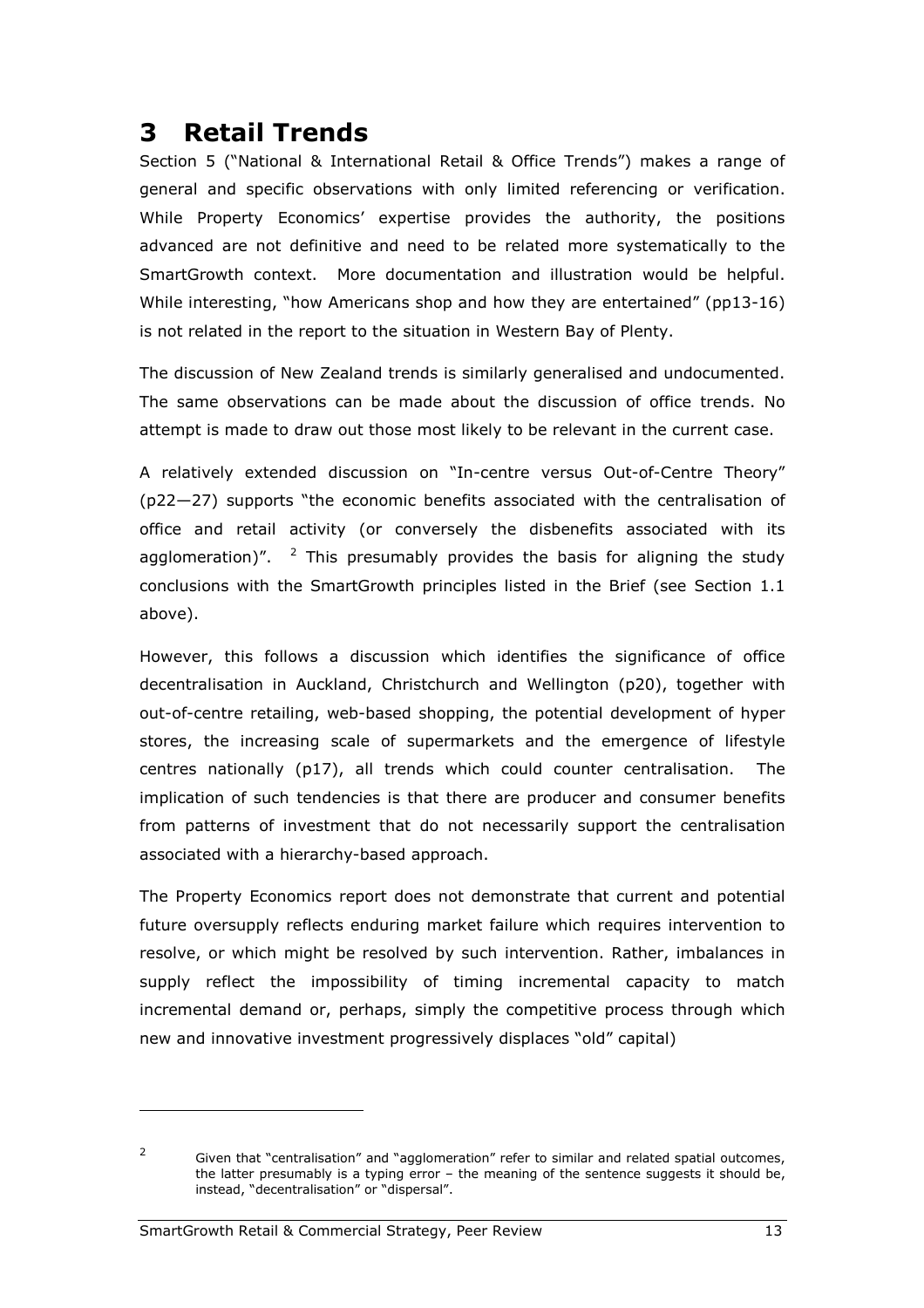## 3 Retail Trends

Section 5 ("National & International Retail & Office Trends") makes a range of general and specific observations with only limited referencing or verification. While Property Economics' expertise provides the authority, the positions advanced are not definitive and need to be related more systematically to the SmartGrowth context. More documentation and illustration would be helpful. While interesting, "how Americans shop and how they are entertained" (pp13-16) is not related in the report to the situation in Western Bay of Plenty.

The discussion of New Zealand trends is similarly generalised and undocumented. The same observations can be made about the discussion of office trends. No attempt is made to draw out those most likely to be relevant in the current case.

A relatively extended discussion on "In-centre versus Out-of-Centre Theory" (p22—27) supports "the economic benefits associated with the centralisation of office and retail activity (or conversely the disbenefits associated with its agglomeration)".  $2$  This presumably provides the basis for aligning the study conclusions with the SmartGrowth principles listed in the Brief (see Section 1.1 above).

However, this follows a discussion which identifies the significance of office decentralisation in Auckland, Christchurch and Wellington (p20), together with out-of-centre retailing, web-based shopping, the potential development of hyper stores, the increasing scale of supermarkets and the emergence of lifestyle centres nationally (p17), all trends which could counter centralisation. The implication of such tendencies is that there are producer and consumer benefits from patterns of investment that do not necessarily support the centralisation associated with a hierarchy-based approach.

The Property Economics report does not demonstrate that current and potential future oversupply reflects enduring market failure which requires intervention to resolve, or which might be resolved by such intervention. Rather, imbalances in supply reflect the impossibility of timing incremental capacity to match incremental demand or, perhaps, simply the competitive process through which new and innovative investment progressively displaces "old" capital)

i<br>I

 $\overline{2}$  Given that "centralisation" and "agglomeration" refer to similar and related spatial outcomes, the latter presumably is a typing error – the meaning of the sentence suggests it should be, instead, "decentralisation" or "dispersal".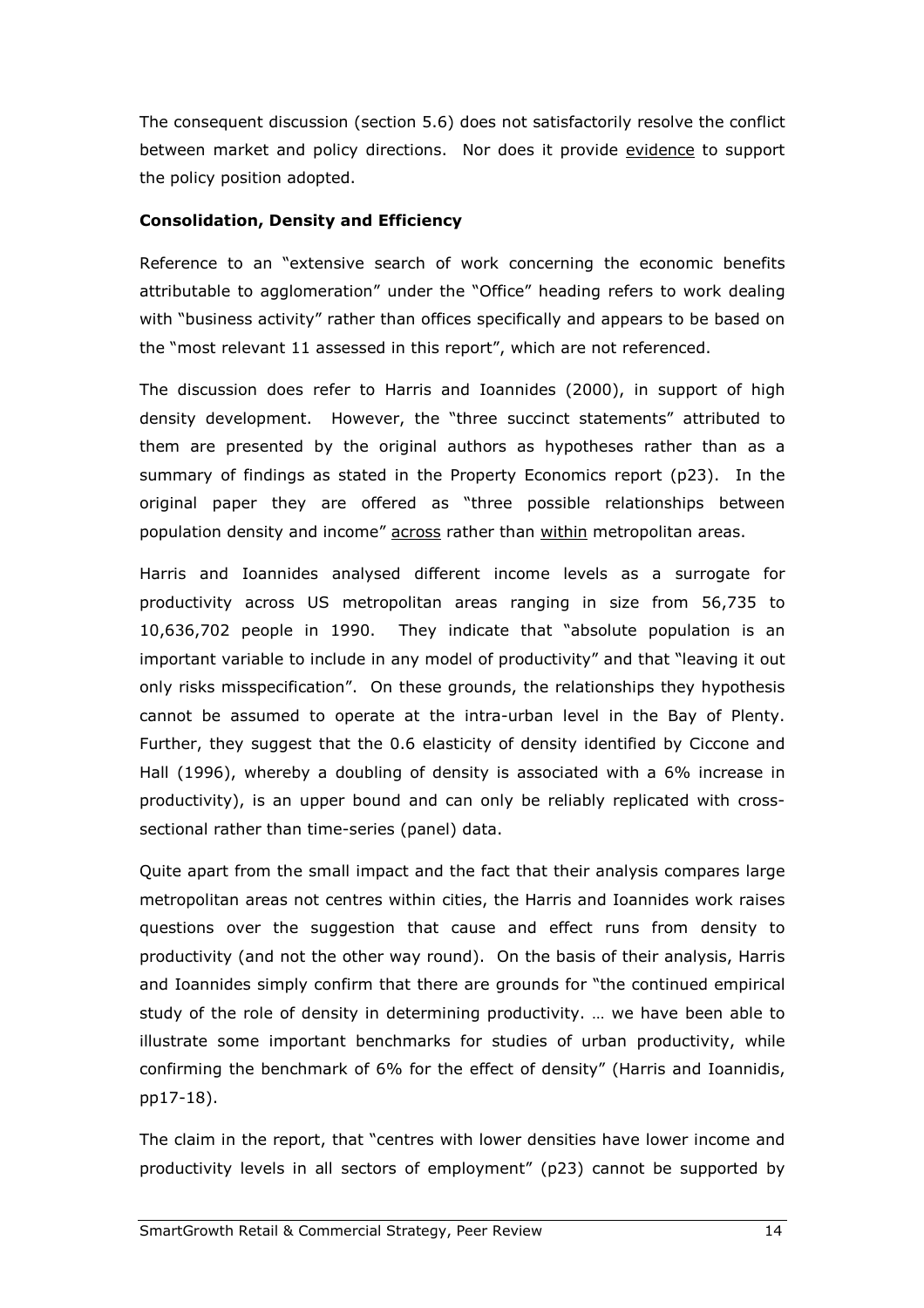The consequent discussion (section 5.6) does not satisfactorily resolve the conflict between market and policy directions. Nor does it provide evidence to support the policy position adopted.

#### Consolidation, Density and Efficiency

Reference to an "extensive search of work concerning the economic benefits attributable to agglomeration" under the "Office" heading refers to work dealing with "business activity" rather than offices specifically and appears to be based on the "most relevant 11 assessed in this report", which are not referenced.

The discussion does refer to Harris and Ioannides (2000), in support of high density development. However, the "three succinct statements" attributed to them are presented by the original authors as hypotheses rather than as a summary of findings as stated in the Property Economics report (p23). In the original paper they are offered as "three possible relationships between population density and income" across rather than within metropolitan areas.

Harris and Ioannides analysed different income levels as a surrogate for productivity across US metropolitan areas ranging in size from 56,735 to 10,636,702 people in 1990. They indicate that "absolute population is an important variable to include in any model of productivity" and that "leaving it out only risks misspecification". On these grounds, the relationships they hypothesis cannot be assumed to operate at the intra-urban level in the Bay of Plenty. Further, they suggest that the 0.6 elasticity of density identified by Ciccone and Hall (1996), whereby a doubling of density is associated with a 6% increase in productivity), is an upper bound and can only be reliably replicated with crosssectional rather than time-series (panel) data.

Quite apart from the small impact and the fact that their analysis compares large metropolitan areas not centres within cities, the Harris and Ioannides work raises questions over the suggestion that cause and effect runs from density to productivity (and not the other way round). On the basis of their analysis, Harris and Ioannides simply confirm that there are grounds for "the continued empirical study of the role of density in determining productivity. … we have been able to illustrate some important benchmarks for studies of urban productivity, while confirming the benchmark of 6% for the effect of density" (Harris and Ioannidis, pp17-18).

The claim in the report, that "centres with lower densities have lower income and productivity levels in all sectors of employment" (p23) cannot be supported by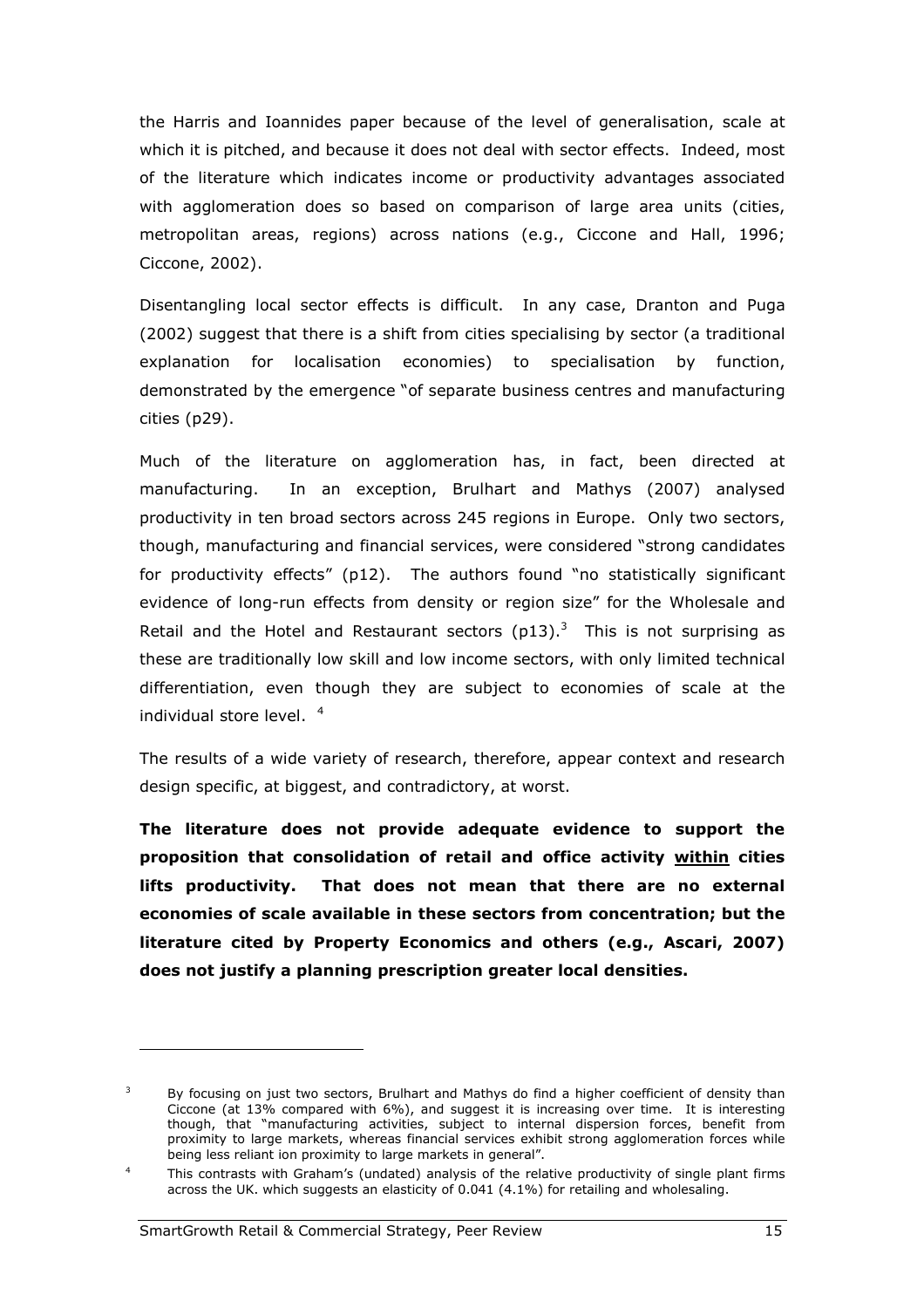the Harris and Ioannides paper because of the level of generalisation, scale at which it is pitched, and because it does not deal with sector effects. Indeed, most of the literature which indicates income or productivity advantages associated with agglomeration does so based on comparison of large area units (cities, metropolitan areas, regions) across nations (e.g., Ciccone and Hall, 1996; Ciccone, 2002).

Disentangling local sector effects is difficult. In any case, Dranton and Puga (2002) suggest that there is a shift from cities specialising by sector (a traditional explanation for localisation economies) to specialisation by function, demonstrated by the emergence "of separate business centres and manufacturing cities (p29).

Much of the literature on agglomeration has, in fact, been directed at manufacturing. In an exception, Brulhart and Mathys (2007) analysed productivity in ten broad sectors across 245 regions in Europe. Only two sectors, though, manufacturing and financial services, were considered "strong candidates for productivity effects" (p12). The authors found "no statistically significant evidence of long-run effects from density or region size" for the Wholesale and Retail and the Hotel and Restaurant sectors  $(p13).$ <sup>3</sup> This is not surprising as these are traditionally low skill and low income sectors, with only limited technical differentiation, even though they are subject to economies of scale at the individual store level. <sup>4</sup>

The results of a wide variety of research, therefore, appear context and research design specific, at biggest, and contradictory, at worst.

The literature does not provide adequate evidence to support the proposition that consolidation of retail and office activity within cities lifts productivity. That does not mean that there are no external economies of scale available in these sectors from concentration; but the literature cited by Property Economics and others (e.g., Ascari, 2007) does not justify a planning prescription greater local densities.

i<br>I

<sup>3</sup> By focusing on just two sectors, Brulhart and Mathys do find a higher coefficient of density than Ciccone (at 13% compared with 6%), and suggest it is increasing over time. It is interesting though, that "manufacturing activities, subject to internal dispersion forces, benefit from proximity to large markets, whereas financial services exhibit strong agglomeration forces while being less reliant ion proximity to large markets in general".

<sup>4</sup>This contrasts with Graham's (undated) analysis of the relative productivity of single plant firms across the UK. which suggests an elasticity of 0.041 (4.1%) for retailing and wholesaling.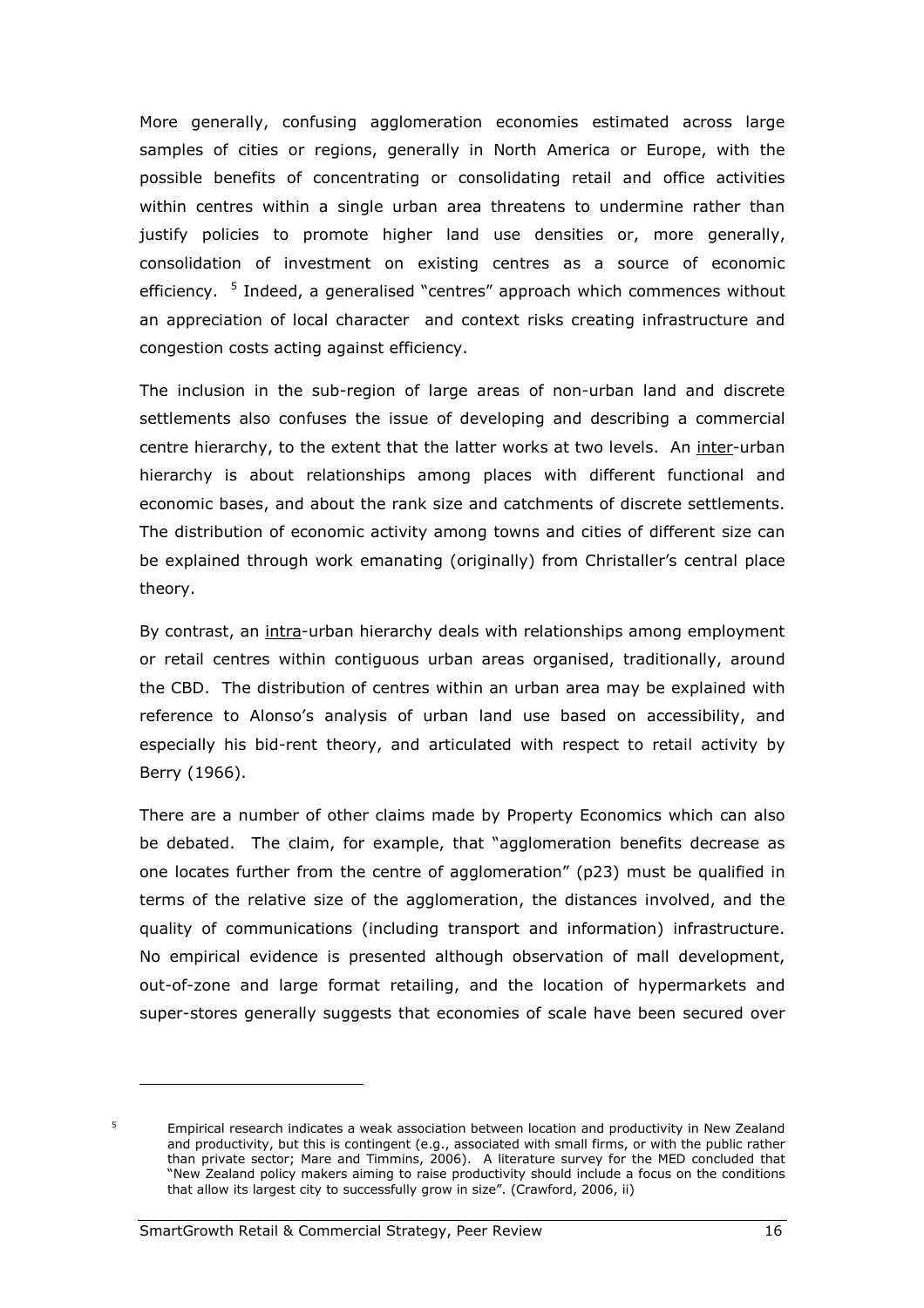More generally, confusing agglomeration economies estimated across large samples of cities or regions, generally in North America or Europe, with the possible benefits of concentrating or consolidating retail and office activities within centres within a single urban area threatens to undermine rather than justify policies to promote higher land use densities or, more generally, consolidation of investment on existing centres as a source of economic efficiency. <sup>5</sup> Indeed, a generalised "centres" approach which commences without an appreciation of local character and context risks creating infrastructure and congestion costs acting against efficiency.

The inclusion in the sub-region of large areas of non-urban land and discrete settlements also confuses the issue of developing and describing a commercial centre hierarchy, to the extent that the latter works at two levels. An inter-urban hierarchy is about relationships among places with different functional and economic bases, and about the rank size and catchments of discrete settlements. The distribution of economic activity among towns and cities of different size can be explained through work emanating (originally) from Christaller's central place theory.

By contrast, an intra-urban hierarchy deals with relationships among employment or retail centres within contiguous urban areas organised, traditionally, around the CBD. The distribution of centres within an urban area may be explained with reference to Alonso's analysis of urban land use based on accessibility, and especially his bid-rent theory, and articulated with respect to retail activity by Berry (1966).

There are a number of other claims made by Property Economics which can also be debated. The claim, for example, that "agglomeration benefits decrease as one locates further from the centre of agglomeration" (p23) must be qualified in terms of the relative size of the agglomeration, the distances involved, and the quality of communications (including transport and information) infrastructure. No empirical evidence is presented although observation of mall development, out-of-zone and large format retailing, and the location of hypermarkets and super-stores generally suggests that economies of scale have been secured over

5

Empirical research indicates a weak association between location and productivity in New Zealand and productivity, but this is contingent (e.g., associated with small firms, or with the public rather than private sector; Mare and Timmins, 2006). A literature survey for the MED concluded that "New Zealand policy makers aiming to raise productivity should include a focus on the conditions that allow its largest city to successfully grow in size". (Crawford, 2006, ii)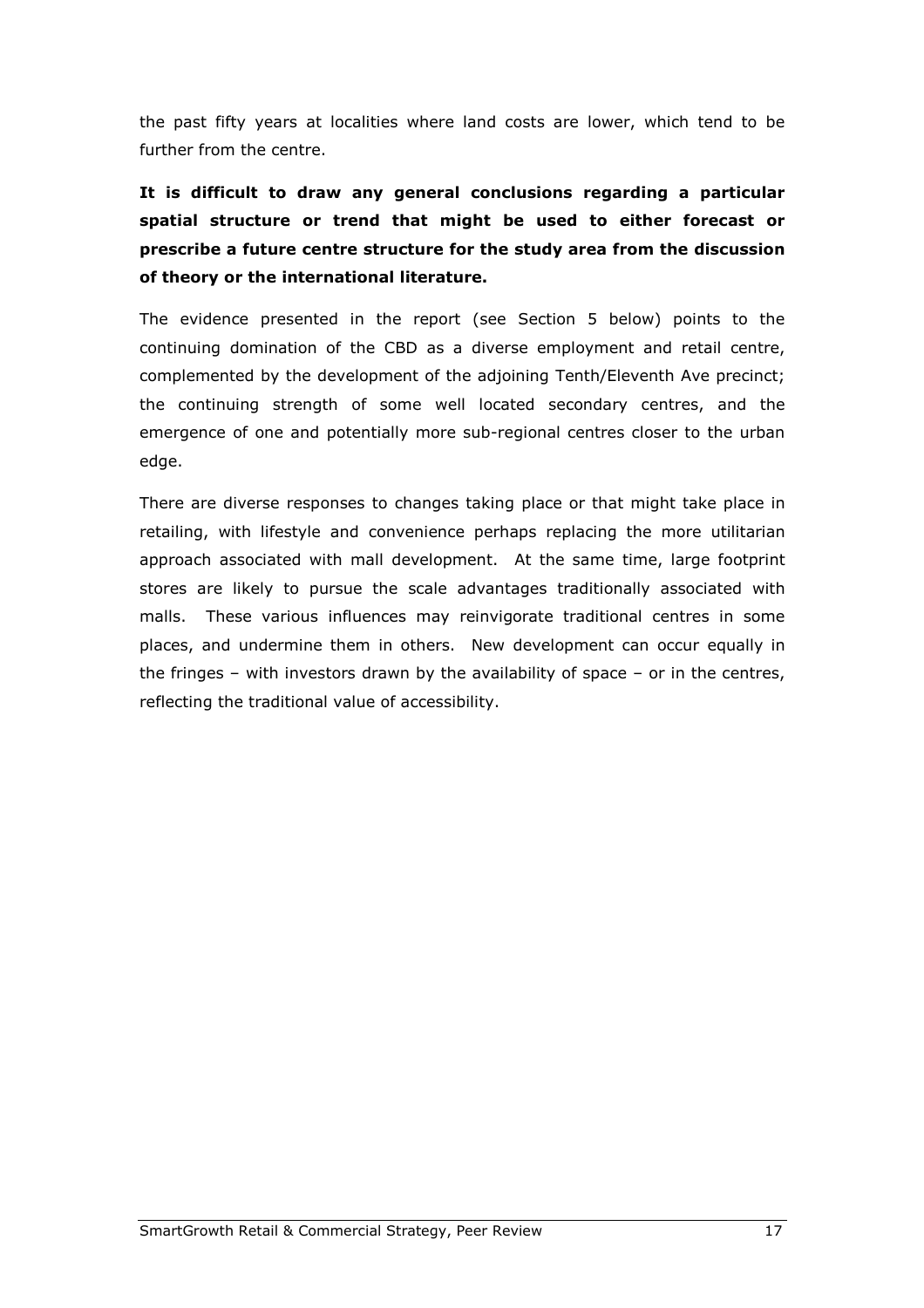the past fifty years at localities where land costs are lower, which tend to be further from the centre.

It is difficult to draw any general conclusions regarding a particular spatial structure or trend that might be used to either forecast or prescribe a future centre structure for the study area from the discussion of theory or the international literature.

The evidence presented in the report (see Section 5 below) points to the continuing domination of the CBD as a diverse employment and retail centre, complemented by the development of the adjoining Tenth/Eleventh Ave precinct; the continuing strength of some well located secondary centres, and the emergence of one and potentially more sub-regional centres closer to the urban edge.

There are diverse responses to changes taking place or that might take place in retailing, with lifestyle and convenience perhaps replacing the more utilitarian approach associated with mall development. At the same time, large footprint stores are likely to pursue the scale advantages traditionally associated with malls. These various influences may reinvigorate traditional centres in some places, and undermine them in others. New development can occur equally in the fringes – with investors drawn by the availability of space – or in the centres, reflecting the traditional value of accessibility.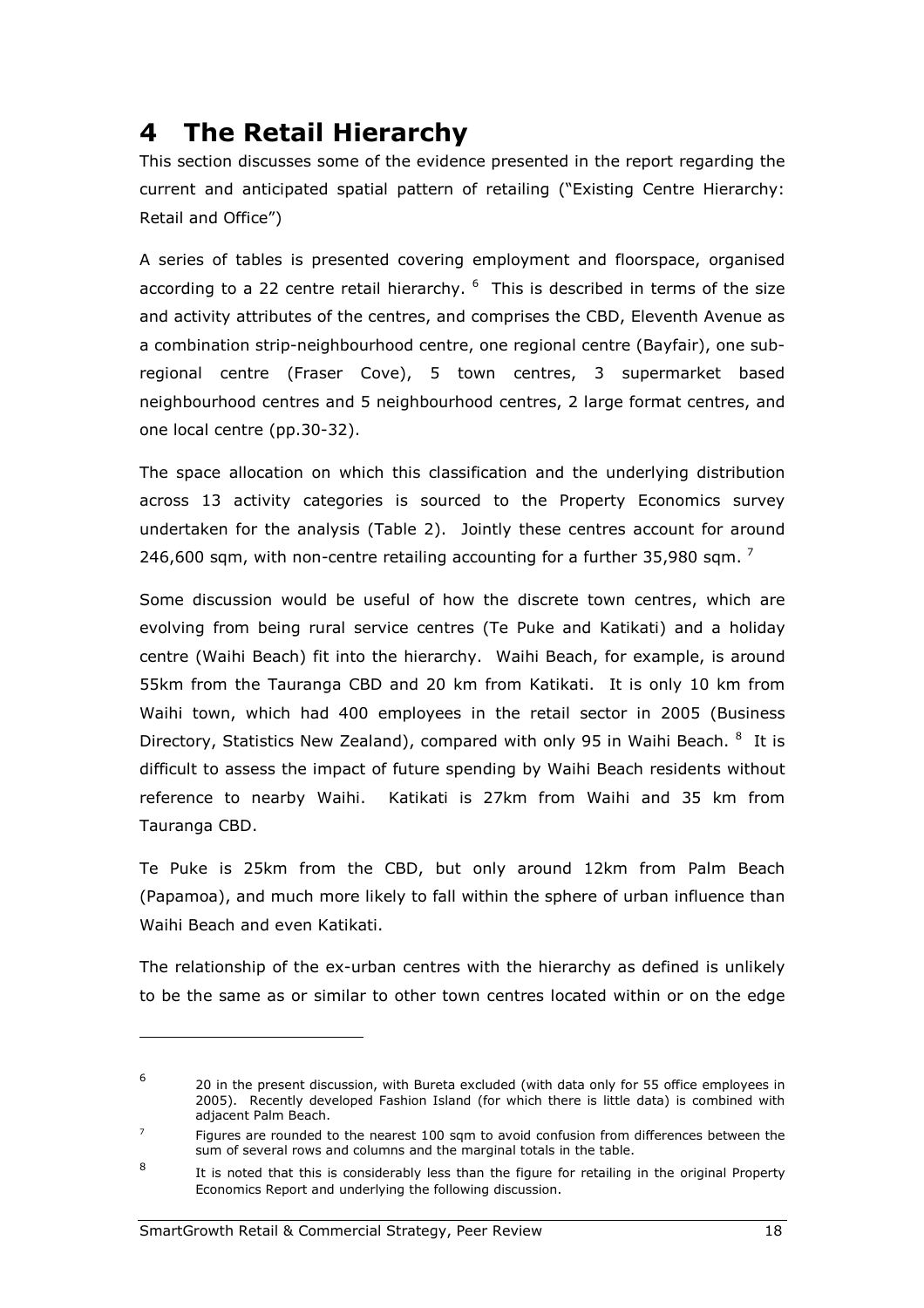## 4 The Retail Hierarchy

This section discusses some of the evidence presented in the report regarding the current and anticipated spatial pattern of retailing ("Existing Centre Hierarchy: Retail and Office")

A series of tables is presented covering employment and floorspace, organised according to a 22 centre retail hierarchy.  $6\,$  This is described in terms of the size and activity attributes of the centres, and comprises the CBD, Eleventh Avenue as a combination strip-neighbourhood centre, one regional centre (Bayfair), one subregional centre (Fraser Cove), 5 town centres, 3 supermarket based neighbourhood centres and 5 neighbourhood centres, 2 large format centres, and one local centre (pp.30-32).

The space allocation on which this classification and the underlying distribution across 13 activity categories is sourced to the Property Economics survey undertaken for the analysis (Table 2). Jointly these centres account for around 246,600 sqm, with non-centre retailing accounting for a further 35,980 sqm.  $^7$ 

Some discussion would be useful of how the discrete town centres, which are evolving from being rural service centres (Te Puke and Katikati) and a holiday centre (Waihi Beach) fit into the hierarchy. Waihi Beach, for example, is around 55km from the Tauranga CBD and 20 km from Katikati. It is only 10 km from Waihi town, which had 400 employees in the retail sector in 2005 (Business Directory, Statistics New Zealand), compared with only 95 in Waihi Beach. <sup>8</sup> It is difficult to assess the impact of future spending by Waihi Beach residents without reference to nearby Waihi. Katikati is 27km from Waihi and 35 km from Tauranga CBD.

Te Puke is 25km from the CBD, but only around 12km from Palm Beach (Papamoa), and much more likely to fall within the sphere of urban influence than Waihi Beach and even Katikati.

The relationship of the ex-urban centres with the hierarchy as defined is unlikely to be the same as or similar to other town centres located within or on the edge

<sup>6</sup> 20 in the present discussion, with Bureta excluded (with data only for 55 office employees in 2005). Recently developed Fashion Island (for which there is little data) is combined with adjacent Palm Beach.

<sup>7</sup> Figures are rounded to the nearest 100 sqm to avoid confusion from differences between the sum of several rows and columns and the marginal totals in the table.

<sup>8</sup> It is noted that this is considerably less than the figure for retailing in the original Property Economics Report and underlying the following discussion.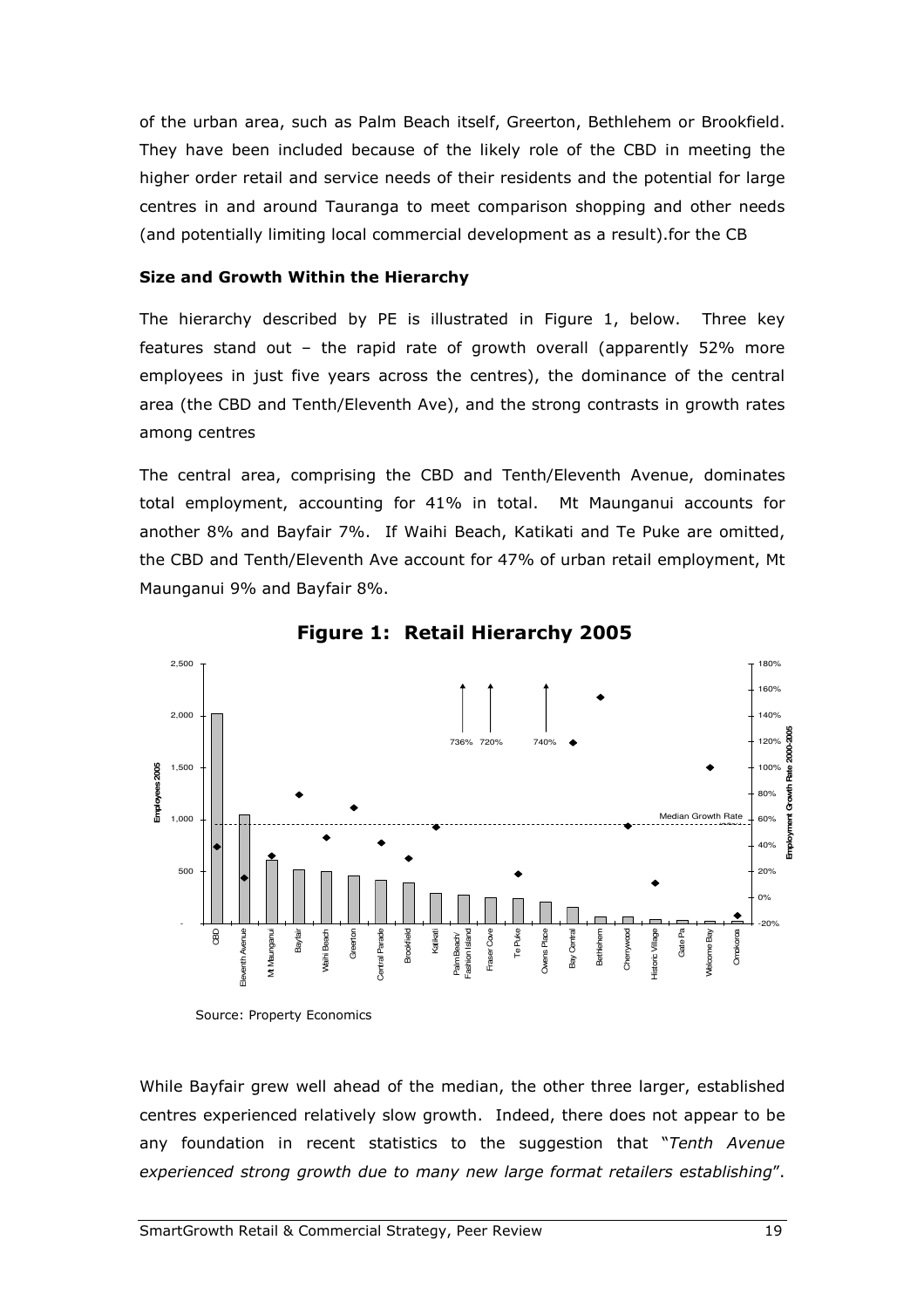of the urban area, such as Palm Beach itself, Greerton, Bethlehem or Brookfield. They have been included because of the likely role of the CBD in meeting the higher order retail and service needs of their residents and the potential for large centres in and around Tauranga to meet comparison shopping and other needs (and potentially limiting local commercial development as a result).for the CB

#### Size and Growth Within the Hierarchy

The hierarchy described by PE is illustrated in Figure 1, below. Three key features stand out – the rapid rate of growth overall (apparently 52% more employees in just five years across the centres), the dominance of the central area (the CBD and Tenth/Eleventh Ave), and the strong contrasts in growth rates among centres

The central area, comprising the CBD and Tenth/Eleventh Avenue, dominates total employment, accounting for 41% in total. Mt Maunganui accounts for another 8% and Bayfair 7%. If Waihi Beach, Katikati and Te Puke are omitted, the CBD and Tenth/Eleventh Ave account for 47% of urban retail employment, Mt Maunganui 9% and Bayfair 8%.



Figure 1: Retail Hierarchy 2005

Source: Property Economics

While Bayfair grew well ahead of the median, the other three larger, established centres experienced relatively slow growth. Indeed, there does not appear to be any foundation in recent statistics to the suggestion that "Tenth Avenue experienced strong growth due to many new large format retailers establishing".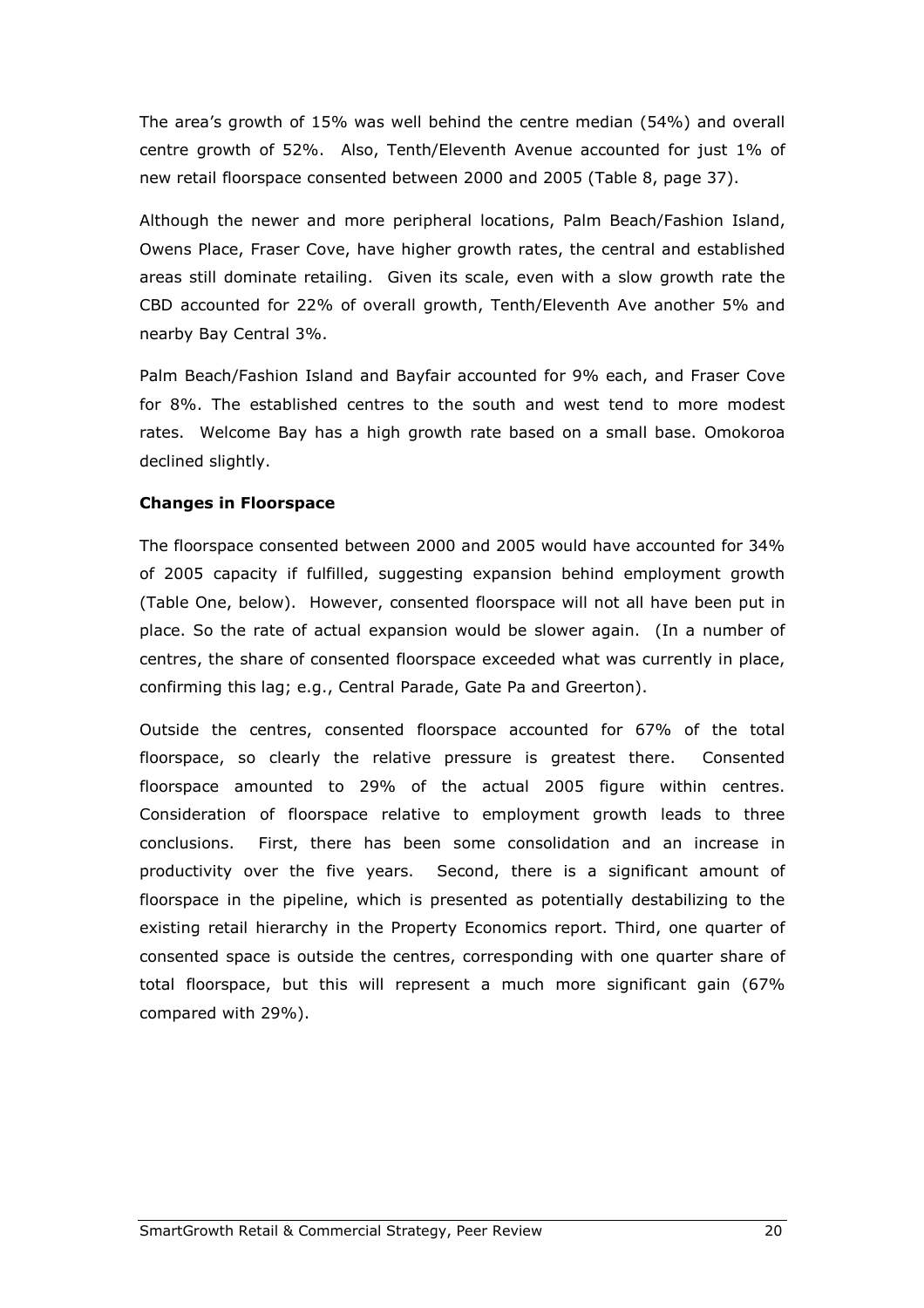The area's growth of 15% was well behind the centre median (54%) and overall centre growth of 52%. Also, Tenth/Eleventh Avenue accounted for just 1% of new retail floorspace consented between 2000 and 2005 (Table 8, page 37).

Although the newer and more peripheral locations, Palm Beach/Fashion Island, Owens Place, Fraser Cove, have higher growth rates, the central and established areas still dominate retailing. Given its scale, even with a slow growth rate the CBD accounted for 22% of overall growth, Tenth/Eleventh Ave another 5% and nearby Bay Central 3%.

Palm Beach/Fashion Island and Bayfair accounted for 9% each, and Fraser Cove for 8%. The established centres to the south and west tend to more modest rates. Welcome Bay has a high growth rate based on a small base. Omokoroa declined slightly.

#### Changes in Floorspace

The floorspace consented between 2000 and 2005 would have accounted for 34% of 2005 capacity if fulfilled, suggesting expansion behind employment growth (Table One, below). However, consented floorspace will not all have been put in place. So the rate of actual expansion would be slower again. (In a number of centres, the share of consented floorspace exceeded what was currently in place, confirming this lag; e.g., Central Parade, Gate Pa and Greerton).

Outside the centres, consented floorspace accounted for 67% of the total floorspace, so clearly the relative pressure is greatest there. Consented floorspace amounted to 29% of the actual 2005 figure within centres. Consideration of floorspace relative to employment growth leads to three conclusions. First, there has been some consolidation and an increase in productivity over the five years. Second, there is a significant amount of floorspace in the pipeline, which is presented as potentially destabilizing to the existing retail hierarchy in the Property Economics report. Third, one quarter of consented space is outside the centres, corresponding with one quarter share of total floorspace, but this will represent a much more significant gain (67% compared with 29%).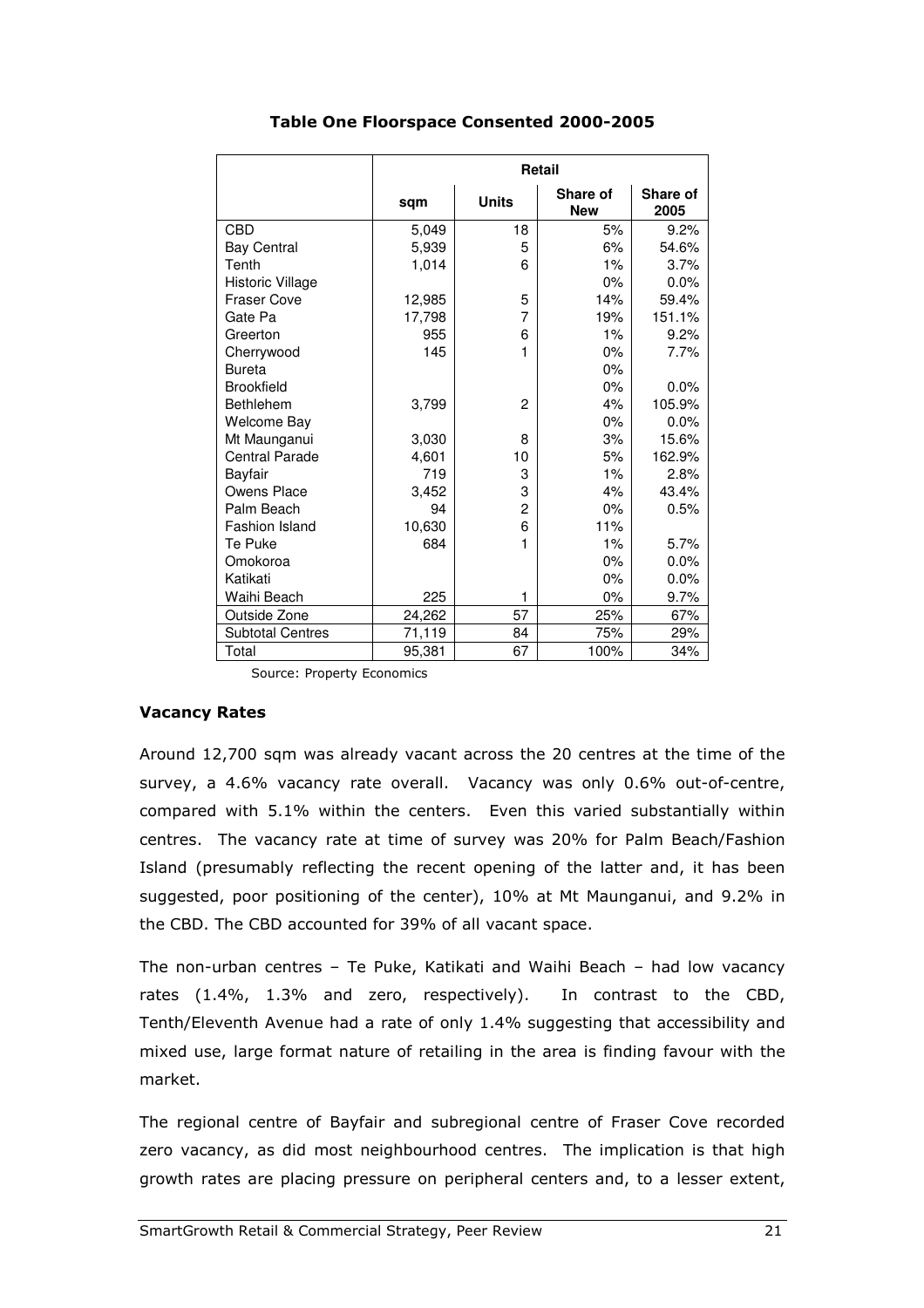|                         | <b>Retail</b> |                |                        |                  |  |
|-------------------------|---------------|----------------|------------------------|------------------|--|
|                         | sqm           | <b>Units</b>   | Share of<br><b>New</b> | Share of<br>2005 |  |
| <b>CBD</b>              | 5,049         | 18             | 5%                     | $9.2\%$          |  |
| <b>Bay Central</b>      | 5,939         | 5              | 6%                     | 54.6%            |  |
| Tenth                   | 1,014         | 6              | $1\%$                  | 3.7%             |  |
| Historic Village        |               |                | $0\%$                  | 0.0%             |  |
| <b>Fraser Cove</b>      | 12,985        | 5              | 14%                    | 59.4%            |  |
| Gate Pa                 | 17,798        | 7              | 19%                    | 151.1%           |  |
| Greerton                | 955           | 6              | $1\%$                  | 9.2%             |  |
| Cherrywood              | 145           | $\mathbf 1$    | $0\%$                  | 7.7%             |  |
| <b>Bureta</b>           |               |                | $0\%$                  |                  |  |
| <b>Brookfield</b>       |               |                | $0\%$                  | 0.0%             |  |
| <b>Bethlehem</b>        | 3,799         | $\overline{2}$ | 4%                     | 105.9%           |  |
| Welcome Bay             |               |                | $0\%$                  | 0.0%             |  |
| Mt Maunganui            | 3,030         | 8              | 3%                     | 15.6%            |  |
| <b>Central Parade</b>   | 4,601         | 10             | 5%                     | 162.9%           |  |
| Bayfair                 | 719           | 3              | $1\%$                  | 2.8%             |  |
| Owens Place             | 3,452         | 3              | 4%                     | 43.4%            |  |
| Palm Beach              | 94            | $\overline{c}$ | 0%                     | 0.5%             |  |
| <b>Fashion Island</b>   | 10,630        | 6              | 11%                    |                  |  |
| Te Puke                 | 684           | 1              | $1\%$                  | 5.7%             |  |
| Omokoroa                |               |                | 0%                     | 0.0%             |  |
| Katikati                |               |                | 0%                     | 0.0%             |  |
| Waihi Beach             | 225           | 1              | $0\%$                  | 9.7%             |  |
| Outside Zone            | 24,262        | 57             | 25%                    | 67%              |  |
| <b>Subtotal Centres</b> | 71,119        | 84             | 75%                    | 29%              |  |
| Total                   | 95,381        | 67             | 100%                   | 34%              |  |

#### Table One Floorspace Consented 2000-2005

Source: Property Economics

#### Vacancy Rates

Around 12,700 sqm was already vacant across the 20 centres at the time of the survey, a 4.6% vacancy rate overall. Vacancy was only 0.6% out-of-centre, compared with 5.1% within the centers. Even this varied substantially within centres. The vacancy rate at time of survey was 20% for Palm Beach/Fashion Island (presumably reflecting the recent opening of the latter and, it has been suggested, poor positioning of the center), 10% at Mt Maunganui, and 9.2% in the CBD. The CBD accounted for 39% of all vacant space.

The non-urban centres – Te Puke, Katikati and Waihi Beach – had low vacancy rates (1.4%, 1.3% and zero, respectively). In contrast to the CBD, Tenth/Eleventh Avenue had a rate of only 1.4% suggesting that accessibility and mixed use, large format nature of retailing in the area is finding favour with the market.

The regional centre of Bayfair and subregional centre of Fraser Cove recorded zero vacancy, as did most neighbourhood centres. The implication is that high growth rates are placing pressure on peripheral centers and, to a lesser extent,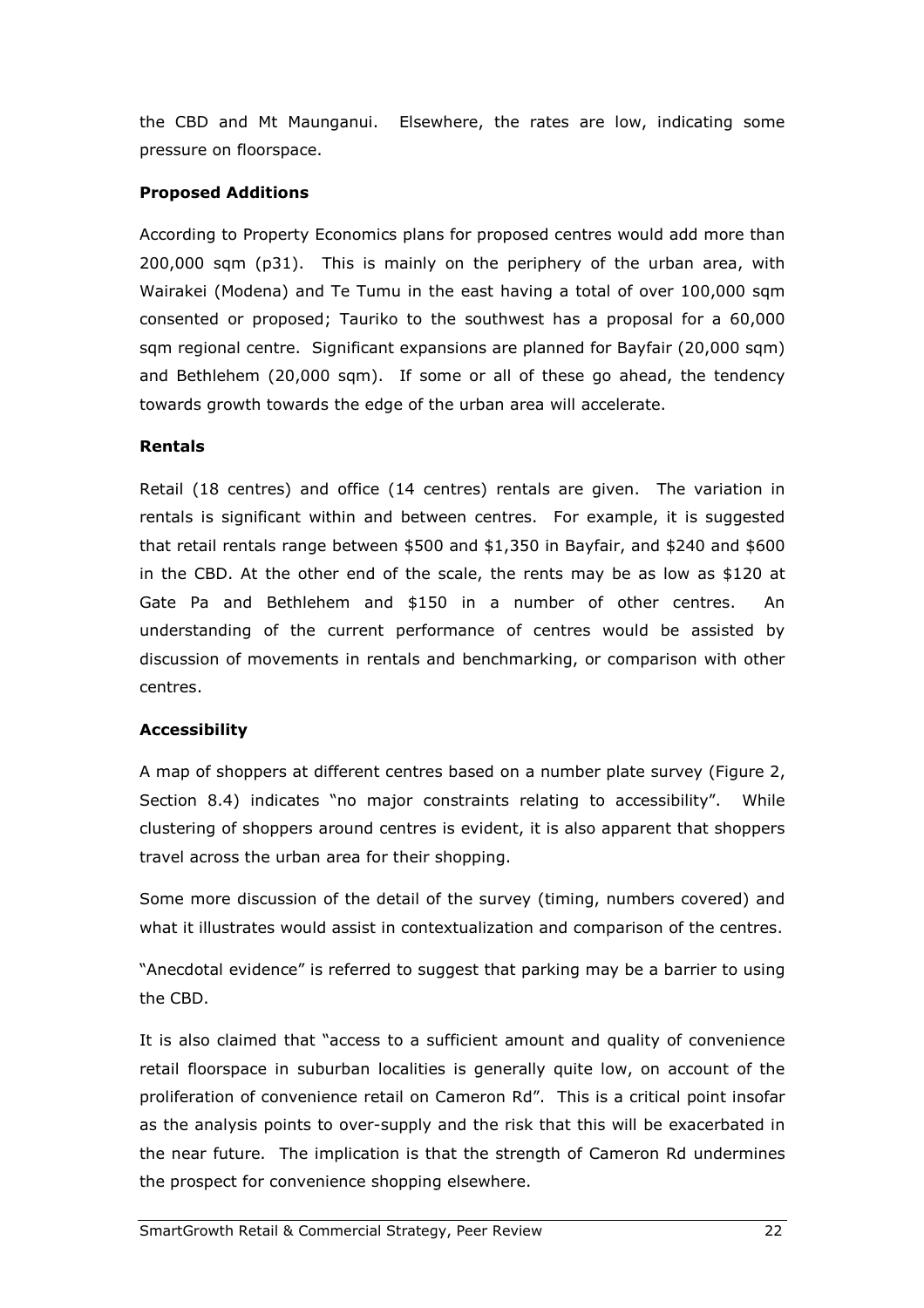the CBD and Mt Maunganui. Elsewhere, the rates are low, indicating some pressure on floorspace.

#### Proposed Additions

According to Property Economics plans for proposed centres would add more than 200,000 sqm (p31). This is mainly on the periphery of the urban area, with Wairakei (Modena) and Te Tumu in the east having a total of over 100,000 sqm consented or proposed; Tauriko to the southwest has a proposal for a 60,000 sqm regional centre. Significant expansions are planned for Bayfair (20,000 sqm) and Bethlehem (20,000 sqm). If some or all of these go ahead, the tendency towards growth towards the edge of the urban area will accelerate.

#### Rentals

Retail (18 centres) and office (14 centres) rentals are given. The variation in rentals is significant within and between centres. For example, it is suggested that retail rentals range between \$500 and \$1,350 in Bayfair, and \$240 and \$600 in the CBD. At the other end of the scale, the rents may be as low as \$120 at Gate Pa and Bethlehem and \$150 in a number of other centres. An understanding of the current performance of centres would be assisted by discussion of movements in rentals and benchmarking, or comparison with other centres.

#### Accessibility

A map of shoppers at different centres based on a number plate survey (Figure 2, Section 8.4) indicates "no major constraints relating to accessibility". While clustering of shoppers around centres is evident, it is also apparent that shoppers travel across the urban area for their shopping.

Some more discussion of the detail of the survey (timing, numbers covered) and what it illustrates would assist in contextualization and comparison of the centres.

"Anecdotal evidence" is referred to suggest that parking may be a barrier to using the CBD.

It is also claimed that "access to a sufficient amount and quality of convenience retail floorspace in suburban localities is generally quite low, on account of the proliferation of convenience retail on Cameron Rd". This is a critical point insofar as the analysis points to over-supply and the risk that this will be exacerbated in the near future. The implication is that the strength of Cameron Rd undermines the prospect for convenience shopping elsewhere.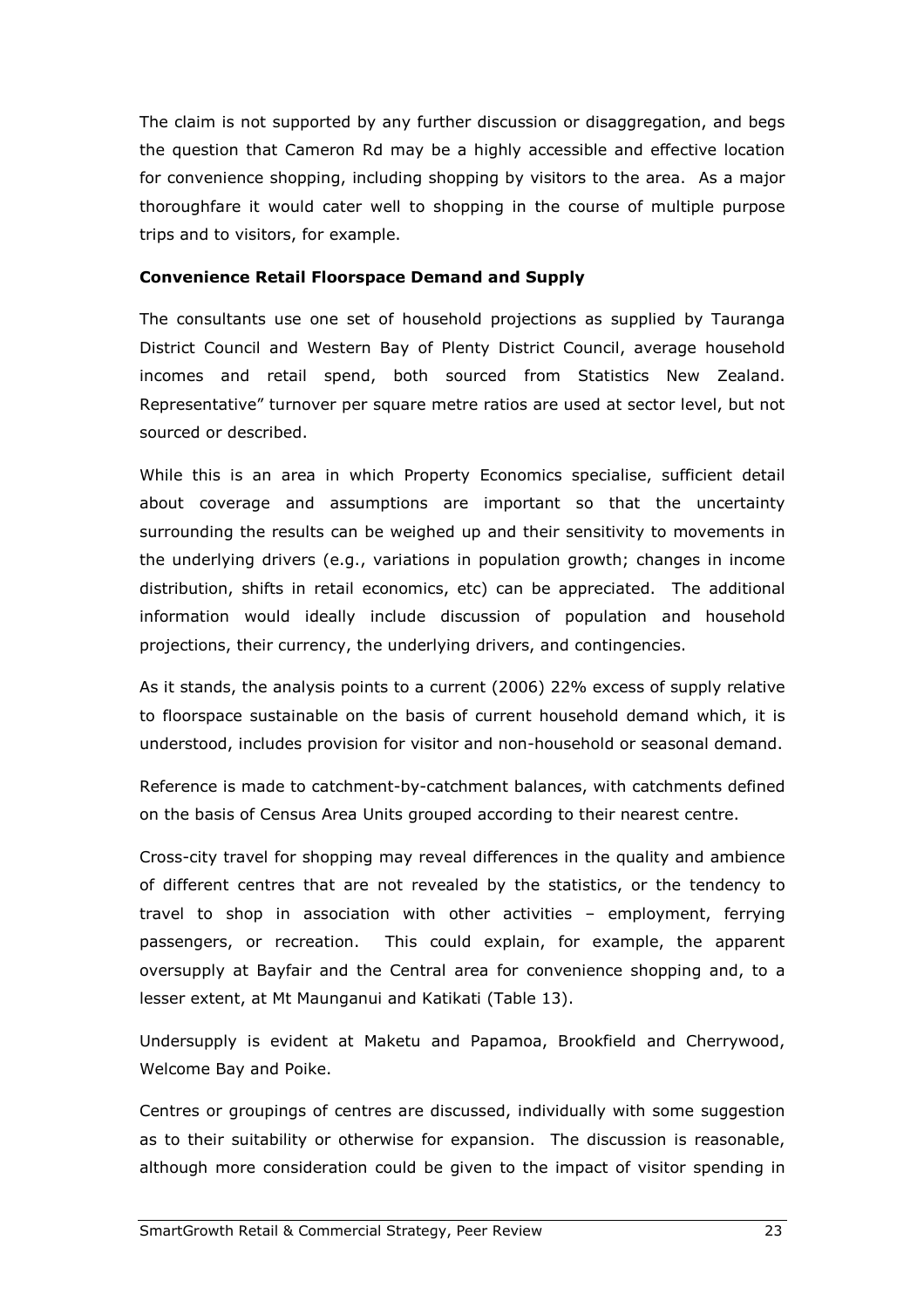The claim is not supported by any further discussion or disaggregation, and begs the question that Cameron Rd may be a highly accessible and effective location for convenience shopping, including shopping by visitors to the area. As a major thoroughfare it would cater well to shopping in the course of multiple purpose trips and to visitors, for example.

#### Convenience Retail Floorspace Demand and Supply

The consultants use one set of household projections as supplied by Tauranga District Council and Western Bay of Plenty District Council, average household incomes and retail spend, both sourced from Statistics New Zealand. Representative" turnover per square metre ratios are used at sector level, but not sourced or described.

While this is an area in which Property Economics specialise, sufficient detail about coverage and assumptions are important so that the uncertainty surrounding the results can be weighed up and their sensitivity to movements in the underlying drivers (e.g., variations in population growth; changes in income distribution, shifts in retail economics, etc) can be appreciated. The additional information would ideally include discussion of population and household projections, their currency, the underlying drivers, and contingencies.

As it stands, the analysis points to a current (2006) 22% excess of supply relative to floorspace sustainable on the basis of current household demand which, it is understood, includes provision for visitor and non-household or seasonal demand.

Reference is made to catchment-by-catchment balances, with catchments defined on the basis of Census Area Units grouped according to their nearest centre.

Cross-city travel for shopping may reveal differences in the quality and ambience of different centres that are not revealed by the statistics, or the tendency to travel to shop in association with other activities – employment, ferrying passengers, or recreation. This could explain, for example, the apparent oversupply at Bayfair and the Central area for convenience shopping and, to a lesser extent, at Mt Maunganui and Katikati (Table 13).

Undersupply is evident at Maketu and Papamoa, Brookfield and Cherrywood, Welcome Bay and Poike.

Centres or groupings of centres are discussed, individually with some suggestion as to their suitability or otherwise for expansion. The discussion is reasonable, although more consideration could be given to the impact of visitor spending in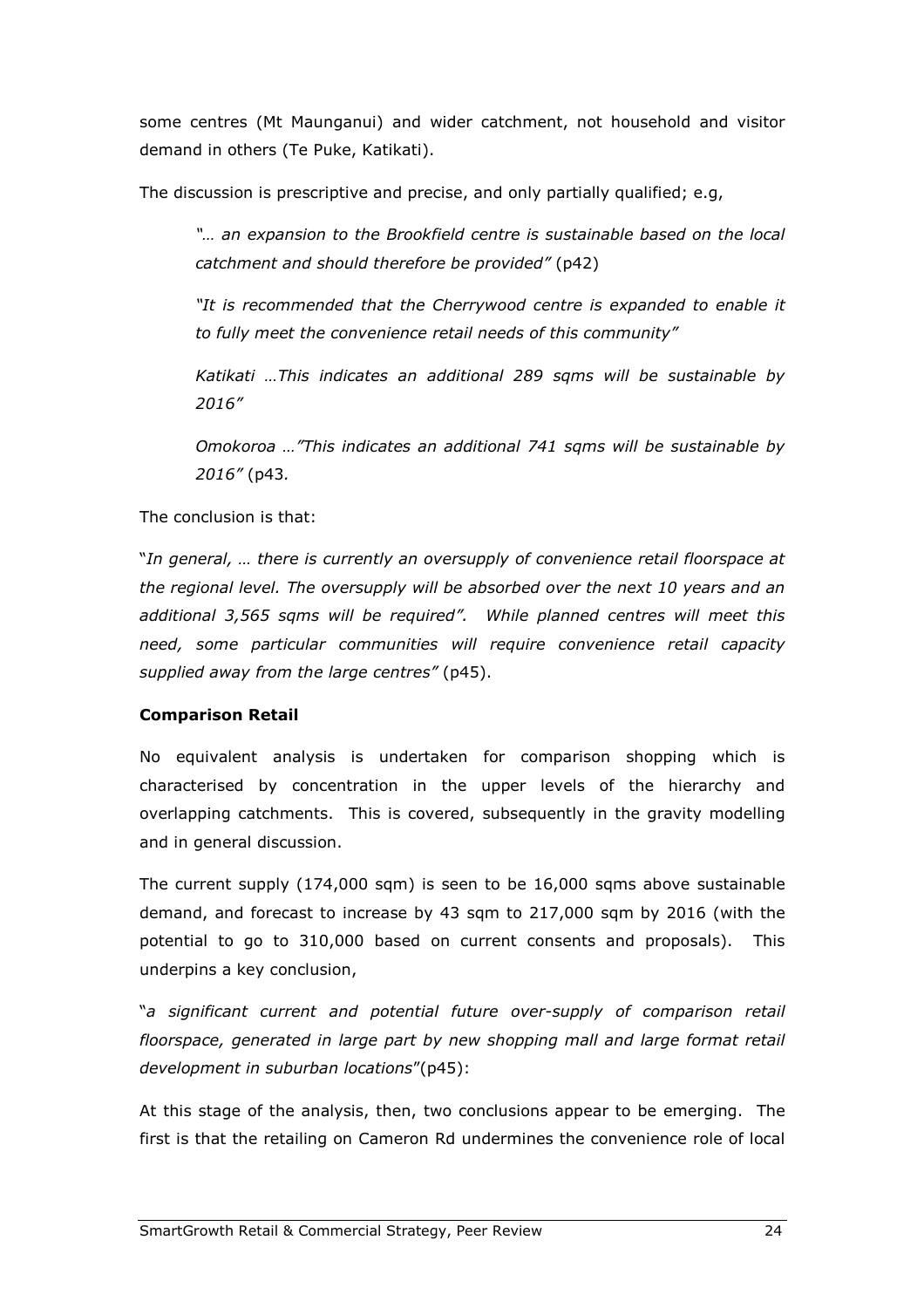some centres (Mt Maunganui) and wider catchment, not household and visitor demand in others (Te Puke, Katikati).

The discussion is prescriptive and precise, and only partially qualified; e.g,

"… an expansion to the Brookfield centre is sustainable based on the local catchment and should therefore be provided" (p42)

"It is recommended that the Cherrywood centre is expanded to enable it to fully meet the convenience retail needs of this community"

Katikati …This indicates an additional 289 sqms will be sustainable by 2016"

Omokoroa …"This indicates an additional 741 sqms will be sustainable by 2016" (p43.

The conclusion is that:

"In general, … there is currently an oversupply of convenience retail floorspace at the regional level. The oversupply will be absorbed over the next 10 years and an additional 3,565 sqms will be required". While planned centres will meet this need, some particular communities will require convenience retail capacity supplied away from the large centres" (p45).

#### Comparison Retail

No equivalent analysis is undertaken for comparison shopping which is characterised by concentration in the upper levels of the hierarchy and overlapping catchments. This is covered, subsequently in the gravity modelling and in general discussion.

The current supply (174,000 sqm) is seen to be 16,000 sqms above sustainable demand, and forecast to increase by 43 sqm to 217,000 sqm by 2016 (with the potential to go to 310,000 based on current consents and proposals). This underpins a key conclusion,

"a significant current and potential future over-supply of comparison retail floorspace, generated in large part by new shopping mall and large format retail development in suburban locations"(p45):

At this stage of the analysis, then, two conclusions appear to be emerging. The first is that the retailing on Cameron Rd undermines the convenience role of local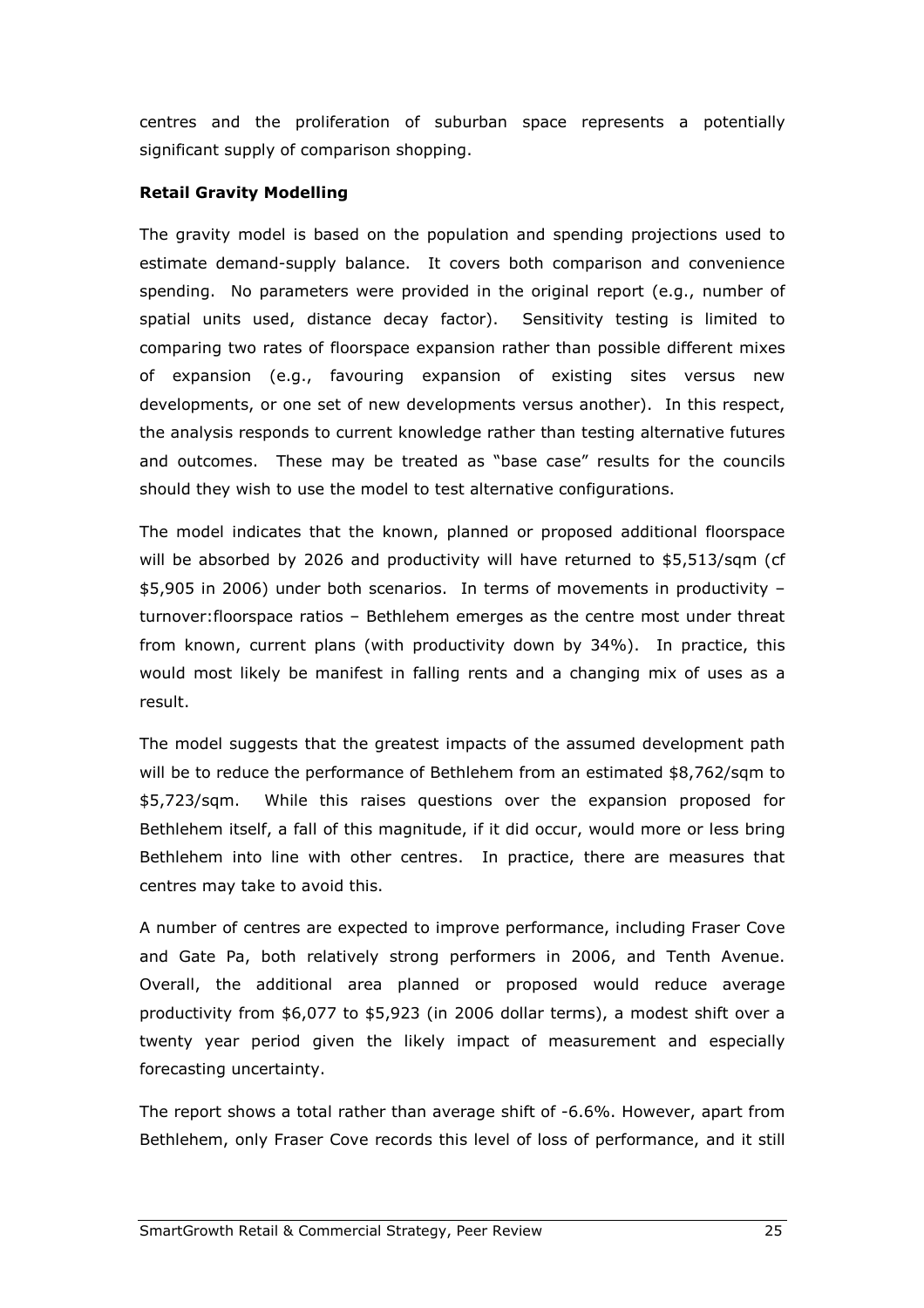centres and the proliferation of suburban space represents a potentially significant supply of comparison shopping.

#### Retail Gravity Modelling

The gravity model is based on the population and spending projections used to estimate demand-supply balance. It covers both comparison and convenience spending. No parameters were provided in the original report (e.g., number of spatial units used, distance decay factor). Sensitivity testing is limited to comparing two rates of floorspace expansion rather than possible different mixes of expansion (e.g., favouring expansion of existing sites versus new developments, or one set of new developments versus another). In this respect, the analysis responds to current knowledge rather than testing alternative futures and outcomes. These may be treated as "base case" results for the councils should they wish to use the model to test alternative configurations.

The model indicates that the known, planned or proposed additional floorspace will be absorbed by 2026 and productivity will have returned to \$5,513/sqm (cf \$5,905 in 2006) under both scenarios. In terms of movements in productivity – turnover:floorspace ratios – Bethlehem emerges as the centre most under threat from known, current plans (with productivity down by 34%). In practice, this would most likely be manifest in falling rents and a changing mix of uses as a result.

The model suggests that the greatest impacts of the assumed development path will be to reduce the performance of Bethlehem from an estimated \$8,762/sqm to \$5,723/sqm. While this raises questions over the expansion proposed for Bethlehem itself, a fall of this magnitude, if it did occur, would more or less bring Bethlehem into line with other centres. In practice, there are measures that centres may take to avoid this.

A number of centres are expected to improve performance, including Fraser Cove and Gate Pa, both relatively strong performers in 2006, and Tenth Avenue. Overall, the additional area planned or proposed would reduce average productivity from \$6,077 to \$5,923 (in 2006 dollar terms), a modest shift over a twenty year period given the likely impact of measurement and especially forecasting uncertainty.

The report shows a total rather than average shift of -6.6%. However, apart from Bethlehem, only Fraser Cove records this level of loss of performance, and it still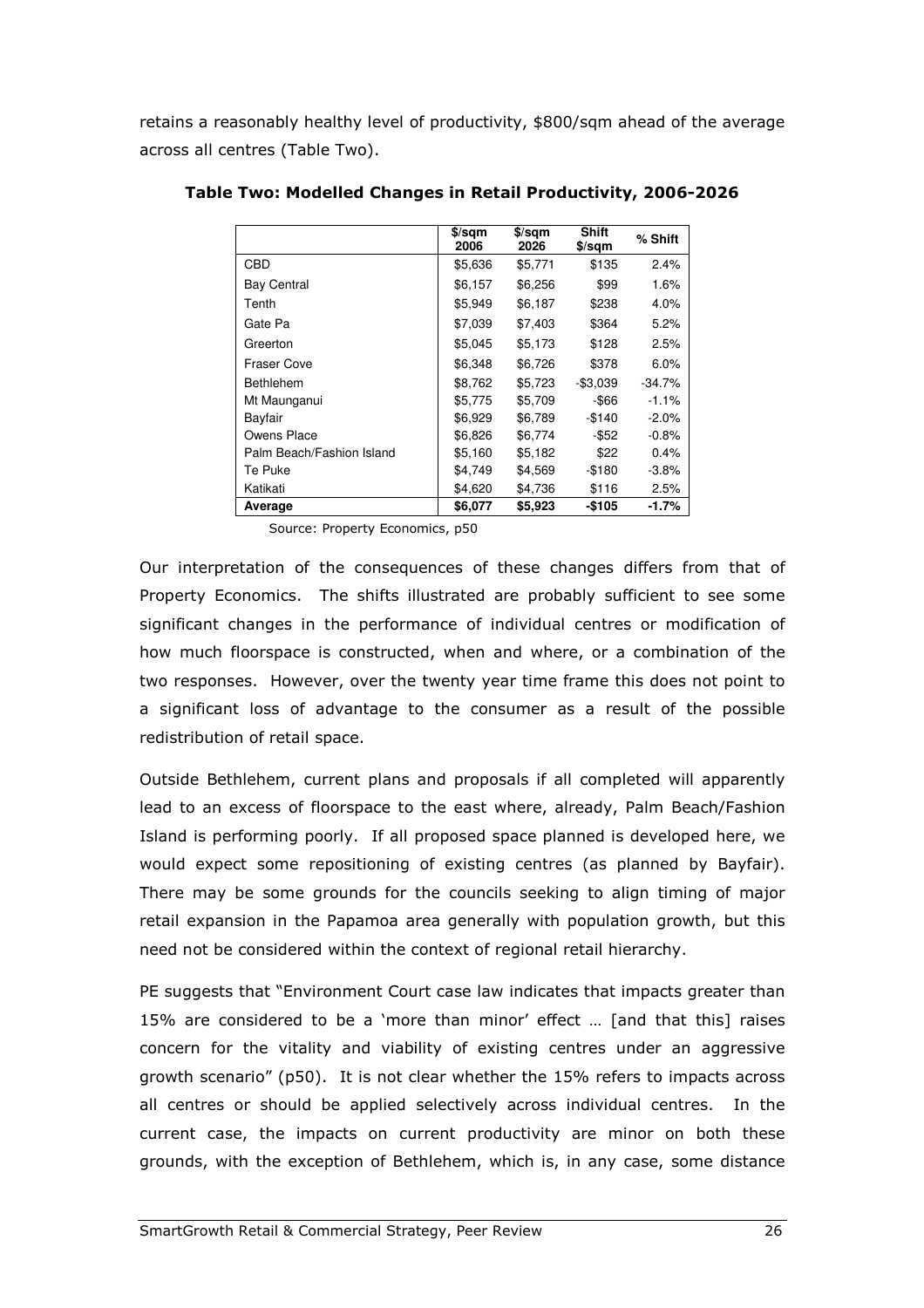retains a reasonably healthy level of productivity, \$800/sqm ahead of the average across all centres (Table Two).

|                           | $$$ /sqm<br>2006 | $$$ /sqm<br>2026 | <b>Shift</b><br>$$$ /sqm | % Shift  |
|---------------------------|------------------|------------------|--------------------------|----------|
| <b>CBD</b>                | \$5,636          | \$5,771          | \$135                    | 2.4%     |
| <b>Bay Central</b>        | \$6,157          | \$6,256          | \$99                     | 1.6%     |
| Tenth                     | \$5,949          | \$6,187          | \$238                    | $4.0\%$  |
| Gate Pa                   | \$7,039          | \$7,403          | \$364                    | 5.2%     |
| Greerton                  | \$5,045          | \$5,173          | \$128                    | 2.5%     |
| <b>Fraser Cove</b>        | \$6,348          | \$6.726          | \$378                    | 6.0%     |
| <b>Bethlehem</b>          | \$8.762          | \$5,723          | $-$3,039$                | $-34.7%$ |
| Mt Maunganui              | \$5.775          | \$5.709          | -\$66                    | $-1.1%$  |
| Bayfair                   | \$6,929          | \$6,789          | $-$140$                  | $-2.0%$  |
| Owens Place               | \$6.826          | \$6.774          | $-$ \$52                 | $-0.8%$  |
| Palm Beach/Fashion Island | \$5,160          | \$5,182          | \$22                     | 0.4%     |
| Te Puke                   | \$4.749          | \$4,569          | -\$180                   | $-3.8%$  |
| Katikati                  | \$4,620          | \$4,736          | \$116                    | 2.5%     |
| Average                   | \$6,077          | \$5,923          | -\$105                   | -1.7%    |

Table Two: Modelled Changes in Retail Productivity, 2006-2026

Source: Property Economics, p50

Our interpretation of the consequences of these changes differs from that of Property Economics. The shifts illustrated are probably sufficient to see some significant changes in the performance of individual centres or modification of how much floorspace is constructed, when and where, or a combination of the two responses. However, over the twenty year time frame this does not point to a significant loss of advantage to the consumer as a result of the possible redistribution of retail space.

Outside Bethlehem, current plans and proposals if all completed will apparently lead to an excess of floorspace to the east where, already, Palm Beach/Fashion Island is performing poorly. If all proposed space planned is developed here, we would expect some repositioning of existing centres (as planned by Bayfair). There may be some grounds for the councils seeking to align timing of major retail expansion in the Papamoa area generally with population growth, but this need not be considered within the context of regional retail hierarchy.

PE suggests that "Environment Court case law indicates that impacts greater than 15% are considered to be a 'more than minor' effect … [and that this] raises concern for the vitality and viability of existing centres under an aggressive growth scenario" (p50). It is not clear whether the 15% refers to impacts across all centres or should be applied selectively across individual centres. In the current case, the impacts on current productivity are minor on both these grounds, with the exception of Bethlehem, which is, in any case, some distance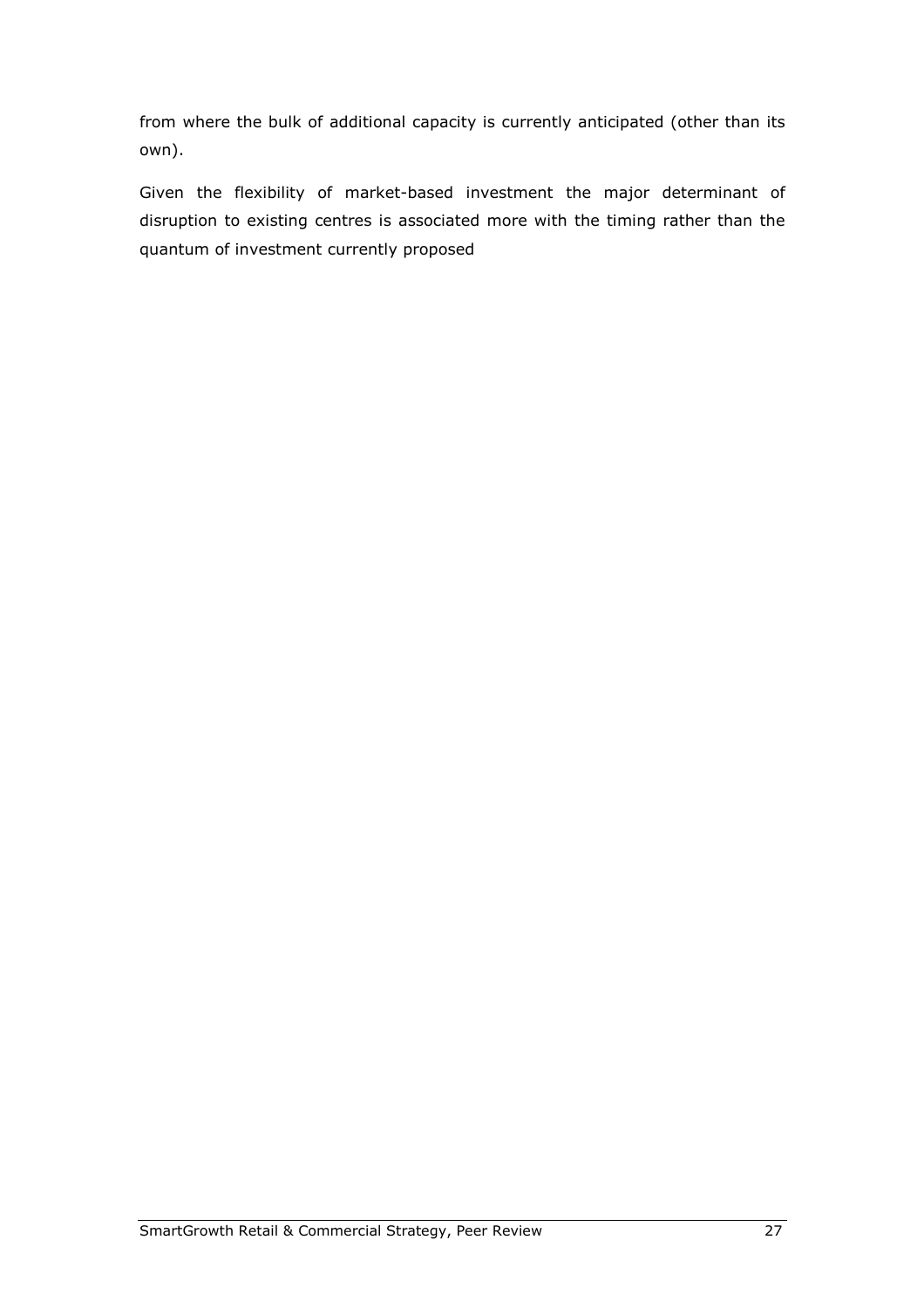from where the bulk of additional capacity is currently anticipated (other than its own).

Given the flexibility of market-based investment the major determinant of disruption to existing centres is associated more with the timing rather than the quantum of investment currently proposed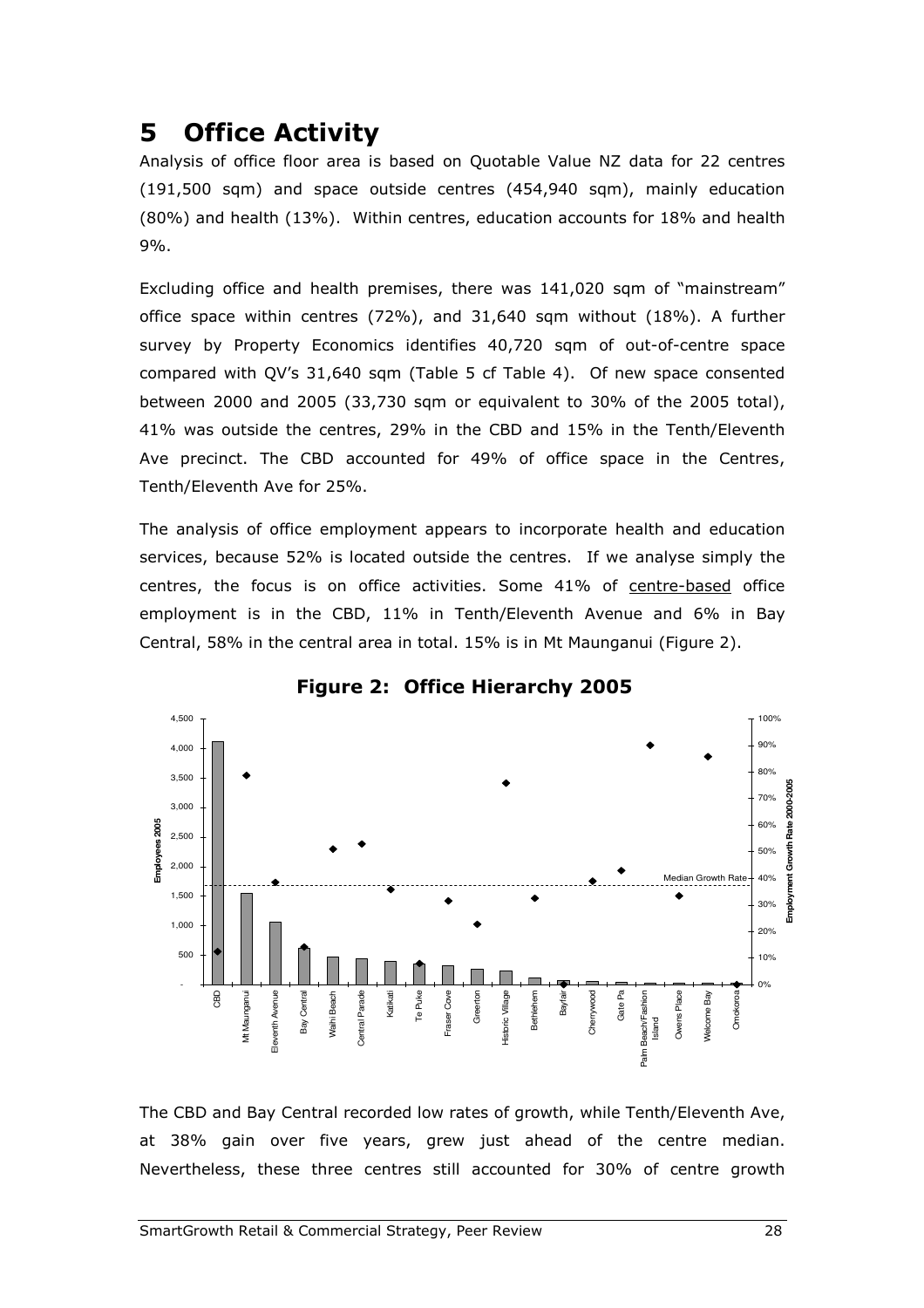## 5 Office Activity

Analysis of office floor area is based on Quotable Value NZ data for 22 centres (191,500 sqm) and space outside centres (454,940 sqm), mainly education (80%) and health (13%). Within centres, education accounts for 18% and health 9%.

Excluding office and health premises, there was 141,020 sqm of "mainstream" office space within centres (72%), and 31,640 sqm without (18%). A further survey by Property Economics identifies 40,720 sqm of out-of-centre space compared with QV's 31,640 sqm (Table 5 cf Table 4). Of new space consented between 2000 and 2005 (33,730 sqm or equivalent to 30% of the 2005 total), 41% was outside the centres, 29% in the CBD and 15% in the Tenth/Eleventh Ave precinct. The CBD accounted for 49% of office space in the Centres, Tenth/Eleventh Ave for 25%.

The analysis of office employment appears to incorporate health and education services, because 52% is located outside the centres. If we analyse simply the centres, the focus is on office activities. Some 41% of centre-based office employment is in the CBD, 11% in Tenth/Eleventh Avenue and 6% in Bay Central, 58% in the central area in total. 15% is in Mt Maunganui (Figure 2).



Figure 2: Office Hierarchy 2005

The CBD and Bay Central recorded low rates of growth, while Tenth/Eleventh Ave, at 38% gain over five years, grew just ahead of the centre median. Nevertheless, these three centres still accounted for 30% of centre growth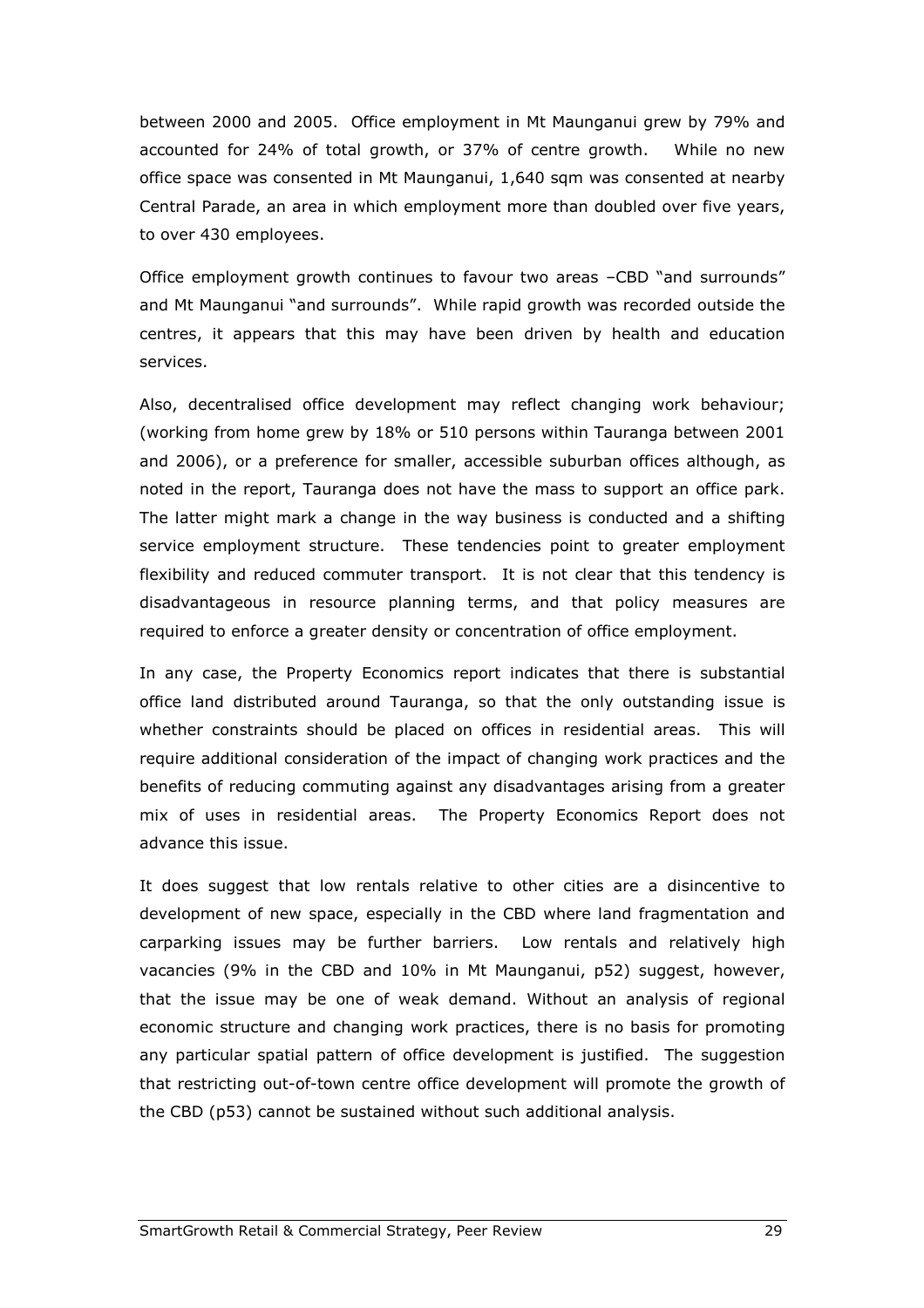between 2000 and 2005. Office employment in Mt Maunganui grew by 79% and accounted for 24% of total growth, or 37% of centre growth. While no new office space was consented in Mt Maunganui, 1,640 sqm was consented at nearby Central Parade, an area in which employment more than doubled over five years, to over 430 employees.

Office employment growth continues to favour two areas –CBD "and surrounds" and Mt Maunganui "and surrounds". While rapid growth was recorded outside the centres, it appears that this may have been driven by health and education services.

Also, decentralised office development may reflect changing work behaviour; (working from home grew by 18% or 510 persons within Tauranga between 2001 and 2006), or a preference for smaller, accessible suburban offices although, as noted in the report, Tauranga does not have the mass to support an office park. The latter might mark a change in the way business is conducted and a shifting service employment structure. These tendencies point to greater employment flexibility and reduced commuter transport. It is not clear that this tendency is disadvantageous in resource planning terms, and that policy measures are required to enforce a greater density or concentration of office employment.

In any case, the Property Economics report indicates that there is substantial office land distributed around Tauranga, so that the only outstanding issue is whether constraints should be placed on offices in residential areas. This will require additional consideration of the impact of changing work practices and the benefits of reducing commuting against any disadvantages arising from a greater mix of uses in residential areas. The Property Economics Report does not advance this issue.

It does suggest that low rentals relative to other cities are a disincentive to development of new space, especially in the CBD where land fragmentation and carparking issues may be further barriers. Low rentals and relatively high vacancies (9% in the CBD and 10% in Mt Maunganui, p52) suggest, however, that the issue may be one of weak demand. Without an analysis of regional economic structure and changing work practices, there is no basis for promoting any particular spatial pattern of office development is justified. The suggestion that restricting out-of-town centre office development will promote the growth of the CBD (p53) cannot be sustained without such additional analysis.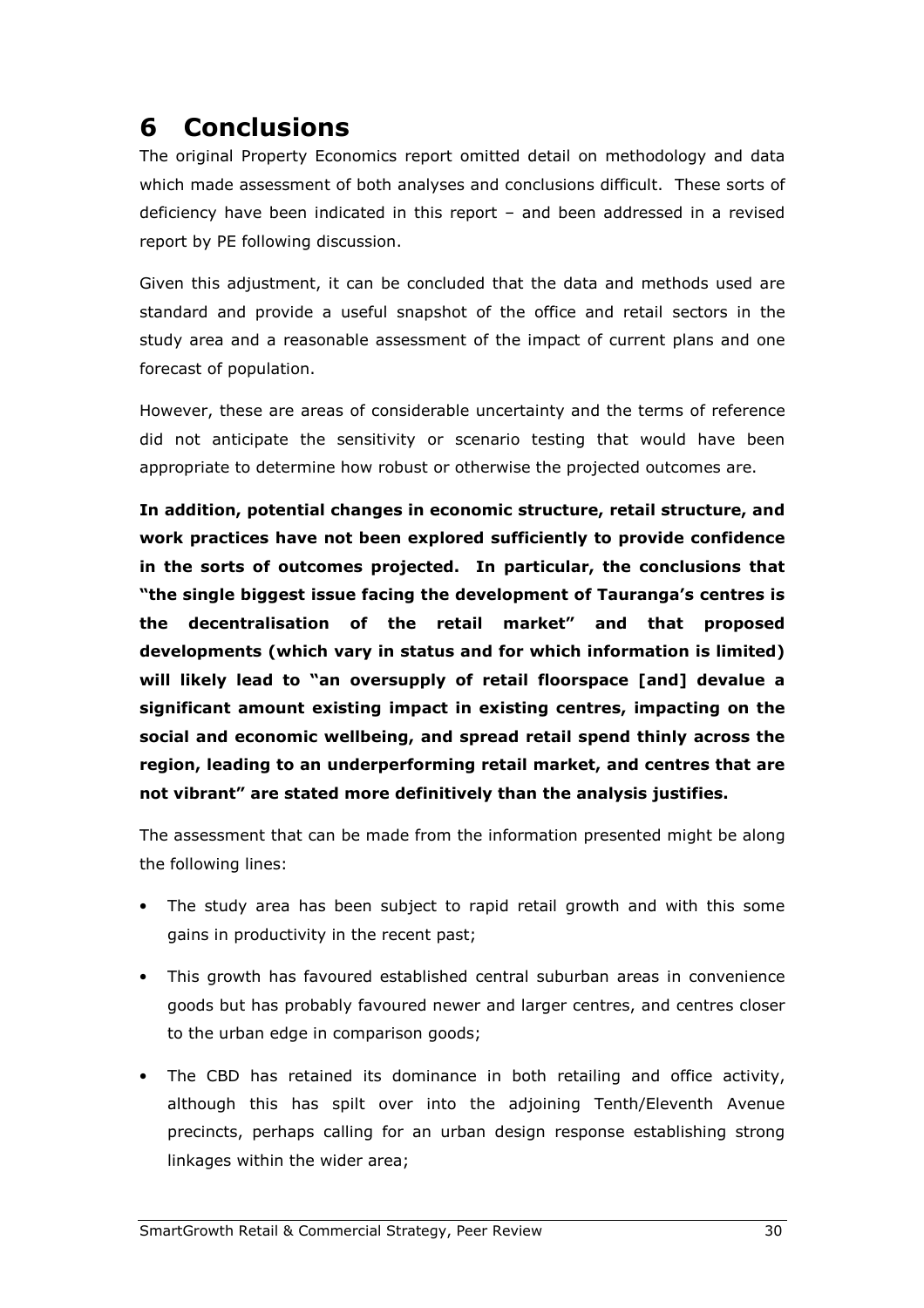## 6 Conclusions

The original Property Economics report omitted detail on methodology and data which made assessment of both analyses and conclusions difficult. These sorts of deficiency have been indicated in this report – and been addressed in a revised report by PE following discussion.

Given this adjustment, it can be concluded that the data and methods used are standard and provide a useful snapshot of the office and retail sectors in the study area and a reasonable assessment of the impact of current plans and one forecast of population.

However, these are areas of considerable uncertainty and the terms of reference did not anticipate the sensitivity or scenario testing that would have been appropriate to determine how robust or otherwise the projected outcomes are.

In addition, potential changes in economic structure, retail structure, and work practices have not been explored sufficiently to provide confidence in the sorts of outcomes projected. In particular, the conclusions that "the single biggest issue facing the development of Tauranga's centres is the decentralisation of the retail market" and that proposed developments (which vary in status and for which information is limited) will likely lead to "an oversupply of retail floorspace [and] devalue a significant amount existing impact in existing centres, impacting on the social and economic wellbeing, and spread retail spend thinly across the region, leading to an underperforming retail market, and centres that are not vibrant" are stated more definitively than the analysis justifies.

The assessment that can be made from the information presented might be along the following lines:

- The study area has been subject to rapid retail growth and with this some gains in productivity in the recent past;
- This growth has favoured established central suburban areas in convenience goods but has probably favoured newer and larger centres, and centres closer to the urban edge in comparison goods;
- The CBD has retained its dominance in both retailing and office activity, although this has spilt over into the adjoining Tenth/Eleventh Avenue precincts, perhaps calling for an urban design response establishing strong linkages within the wider area;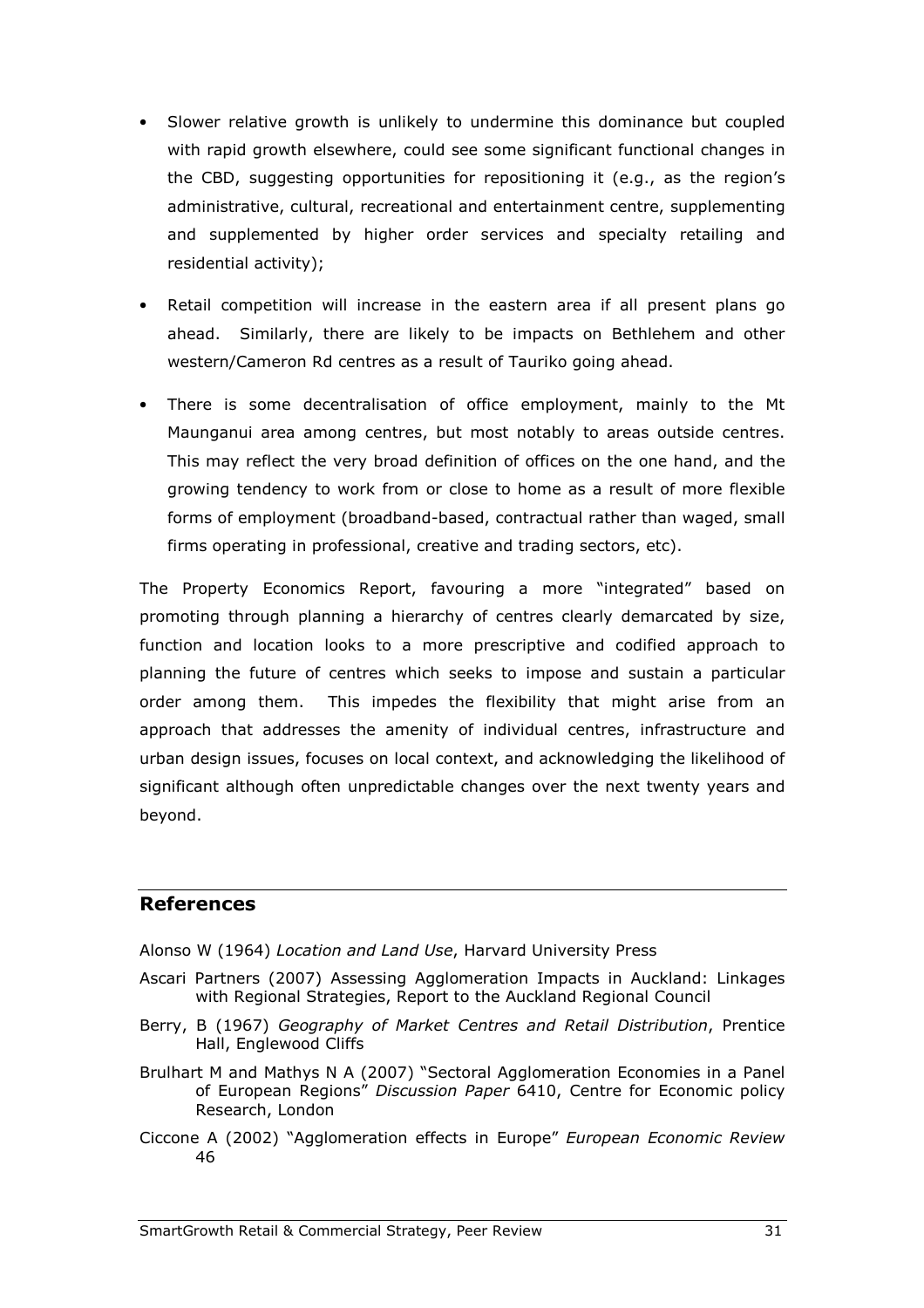- Slower relative growth is unlikely to undermine this dominance but coupled with rapid growth elsewhere, could see some significant functional changes in the CBD, suggesting opportunities for repositioning it (e.g., as the region's administrative, cultural, recreational and entertainment centre, supplementing and supplemented by higher order services and specialty retailing and residential activity);
- Retail competition will increase in the eastern area if all present plans go ahead. Similarly, there are likely to be impacts on Bethlehem and other western/Cameron Rd centres as a result of Tauriko going ahead.
- There is some decentralisation of office employment, mainly to the Mt Maunganui area among centres, but most notably to areas outside centres. This may reflect the very broad definition of offices on the one hand, and the growing tendency to work from or close to home as a result of more flexible forms of employment (broadband-based, contractual rather than waged, small firms operating in professional, creative and trading sectors, etc).

The Property Economics Report, favouring a more "integrated" based on promoting through planning a hierarchy of centres clearly demarcated by size, function and location looks to a more prescriptive and codified approach to planning the future of centres which seeks to impose and sustain a particular order among them. This impedes the flexibility that might arise from an approach that addresses the amenity of individual centres, infrastructure and urban design issues, focuses on local context, and acknowledging the likelihood of significant although often unpredictable changes over the next twenty years and beyond.

#### References

- Alonso W (1964) Location and Land Use, Harvard University Press
- Ascari Partners (2007) Assessing Agglomeration Impacts in Auckland: Linkages with Regional Strategies, Report to the Auckland Regional Council
- Berry, B (1967) Geography of Market Centres and Retail Distribution, Prentice Hall, Englewood Cliffs
- Brulhart M and Mathys N A (2007) "Sectoral Agglomeration Economies in a Panel of European Regions" Discussion Paper 6410, Centre for Economic policy Research, London
- Ciccone A (2002) "Agglomeration effects in Europe" European Economic Review 46